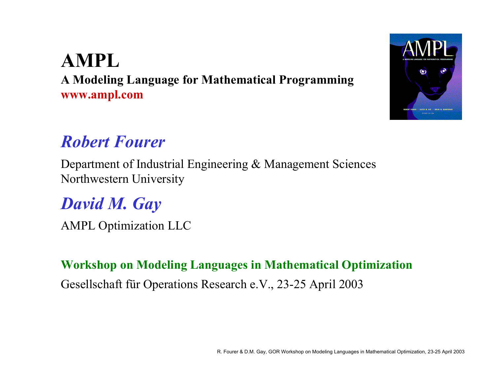## **AMPLA Modeling Language for Mathematical Programming www.ampl.com**

# *Robert Fourer*

Department of Industrial Engineering & Management Sciences Northwestern University

# *David M. Gay*

AMPL Optimization LLC

#### **Workshop on Modeling Languages in Mathematical Optimization**

Gesellschaft für Operations Research e.V., 23-25 April 2003

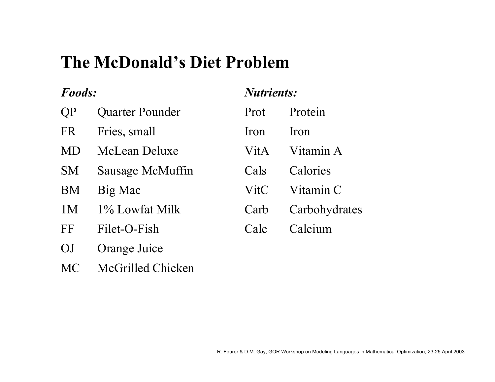# **The McDonald's Diet Problem**

#### *Foods:*

| QP | <b>Quarter Pounder</b> |
|----|------------------------|
|    |                        |

- FR Fries, small
- MD McLean Deluxe
- SM Sausage McMuffin
- BM Big Mac
- 1M 1% Lowfat Milk
- FF Filet-O-Fish
- OJ Orange Juice
- MC McGrilled Chicken

#### *Nutrients:*

| Prot | Protein       |
|------|---------------|
| Iron | Iron          |
| VitA | Vitamin A     |
| Cals | Calories      |
| VitC | Vitamin C     |
| Carb | Carbohydrates |
| Calc | Calcium       |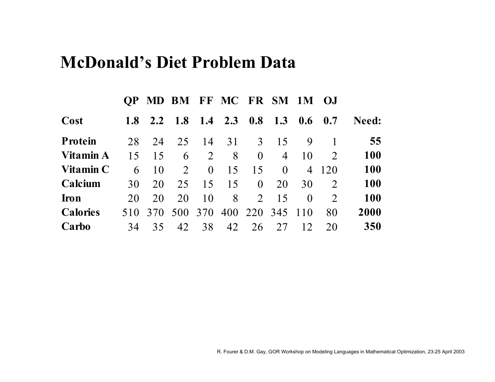## **McDonald's Diet Problem Data**

|                 | <b>OP</b>  |     |            |          | MD BM FF MC FR SM 1M |                |                |                | OJ.                         |              |
|-----------------|------------|-----|------------|----------|----------------------|----------------|----------------|----------------|-----------------------------|--------------|
| Cost            | <b>1.8</b> | 2.2 | <b>1.8</b> |          | $1.4$ 2.3            | 0.8            | 1.3            | 0.6            | 0.7                         | <b>Need:</b> |
| <b>Protein</b>  | 28         | 24  | 25         | 14       | 31                   | $\mathcal{E}$  | 15             | 9              |                             | 55           |
| Vitamin A       | 15         | 15  | 6          | 2        | 8                    | $\theta$       | $\overline{4}$ | 10             | $\mathcal{D}_{\mathcal{L}}$ | <b>100</b>   |
| Vitamin C       | 6          | 10  | 2          | $\theta$ | 15                   | 15             | $\Omega$       | $\overline{4}$ | 120                         | <b>100</b>   |
| Calcium         | 30         | 20  | 25         | 15       | 15                   | $\theta$       | 20             | 30             | 2                           | <b>100</b>   |
| <b>Iron</b>     | 20         | 20  | 20         | 10       | 8                    | $\overline{2}$ | 15             | $\Omega$       | $\mathcal{D}$               | <b>100</b>   |
| <b>Calories</b> | 510        | 370 | 500        | 370      | 400                  | 220            | 345            | 110            | 80                          | 2000         |
| Carbo           | 34         | 35  | 42         | 38       | 42                   | 26             | 27             | 12             | 20                          | 350          |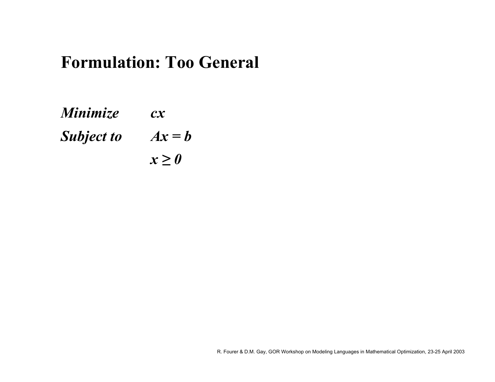# **Formulation: Too General**

*Minimize cx Subject to*  $Ax = b$ *x ≥ 0*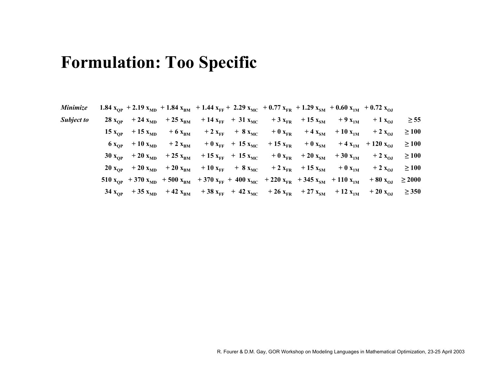## **Formulation: Too Specific**

| Minimize          |                    |               |                | 1.84 $x_{OP}$ + 2.19 $x_{MD}$ + 1.84 $x_{BM}$ + 1.44 $x_{FF}$ + 2.29 $x_{MC}$ + 0.77 $x_{FR}$ + 1.29 $x_{SM}$ + 0.60 $x_{1M}$ + 0.72 $x_{OJ}$ |                                      |                                         |                                          |              |                            |             |  |
|-------------------|--------------------|---------------|----------------|-----------------------------------------------------------------------------------------------------------------------------------------------|--------------------------------------|-----------------------------------------|------------------------------------------|--------------|----------------------------|-------------|--|
| <b>Subject to</b> | 28 $x_{OP}$        | $+24 xMD$     | $+25$ $x_{BM}$ |                                                                                                                                               | $+14 x_{FF}$ + 31 $x_{MC}$           |                                         | + 3 $x_{\text{FR}}$ + 15 $x_{\text{SM}}$ | $+9x_{1M}$   | $+1 x_{OJ}$                | $\geq 55$   |  |
|                   | 15 $x_{OP}$        | $+15 x_{MD}$  | $+6x_{BM}$     |                                                                                                                                               | $+2 x_{\text{FF}} + 8 x_{\text{MC}}$ | $+0 x_{FR}$                             | $+4x_{\rm SM}$                           | $+10 x_{1M}$ | $+2 x_{OJ}$                | $\geq 100$  |  |
|                   | $6x_{OP}$          | $+10 xMD$     | $+2 x_{BM}$    |                                                                                                                                               |                                      | $+0 x_{FF}$ + 15 $x_{MC}$ + 15 $x_{FR}$ | $+0 x_{\rm SM}$                          |              | $+4 x_{1M}$ + 120 $x_{0J}$ | $\geq 100$  |  |
|                   | $30 x_{OP}$        | $+20 xMD$     | $+25 x_{BM}$   |                                                                                                                                               | $+15 x_{FF}$ + 15 $x_{MC}$           |                                         | $+0 x_{\text{FR}}$ + 20 $x_{\text{SM}}$  | $+30 x_{1M}$ | $+2 x_{OJ}$                | $\geq 100$  |  |
|                   | $20 x_{\text{OP}}$ | $+20 xMD$     | $+20 x_{BM}$   | $+10 x_{FF}$                                                                                                                                  | $+ 8 x_{MC}$                         |                                         | + 2 $x_{\text{FR}}$ + 15 $x_{\text{SM}}$ | $+0 x_{1M}$  | $+2 x_{OJ}$                | $\geq 100$  |  |
|                   | $510 x_{OP}$       | $+370 x_{MD}$ |                | + 500 $x_{BM}$ + 370 $x_{FF}$ + 400 $x_{MC}$ + 220 $x_{FR}$ + 345 $x_{SM}$ + 110 $x_{1M}$                                                     |                                      |                                         |                                          |              | $+80 x_{OJ}$               | $\geq 2000$ |  |
|                   | 34 $x_{OP}$        | $+35 x_{MD}$  | $+42 x_{BM}$   | + 38 $x_{FF}$ + 42 $x_{MC}$ + 26 $x_{FR}$                                                                                                     |                                      |                                         | $+27 x_{SM}$                             | $+12 x_{1M}$ | $+20 x_{\text{OJ}}$        | $\geq$ 350  |  |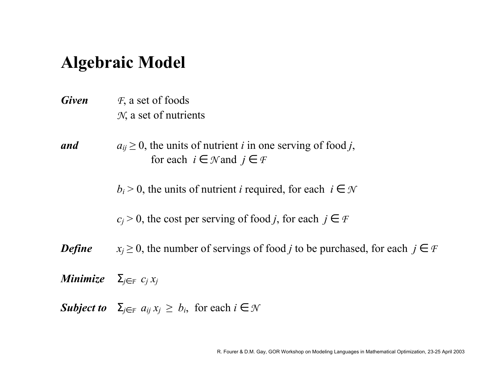# **Algebraic Model**

- *Given <sup>F</sup>*, a set of foods *N*, a set of nutrients
- *and* $a_{ij} \geq 0$ , the units of nutrient *i* in one serving of food *j*, for each  $i \in \mathcal{N}$  and  $j \in \mathcal{F}$

 $b_i$  > 0, the units of nutrient *i* required, for each  $i \in \mathcal{N}$ 

 $c_j$  > 0, the cost per serving of food *j*, for each  $j \in \mathcal{F}$ 

*Define*  $x_j \geq 0$ , the number of servings of food *j* to be purchased, for each  $j \in \mathcal{F}$ 

*Minimize* Σ*j* ∈ *F cj xj*

*Subject to*  $\Sigma_{j \in \mathcal{F}} a_{ij} x_j \geq b_i$ , for each  $i \in \mathcal{N}$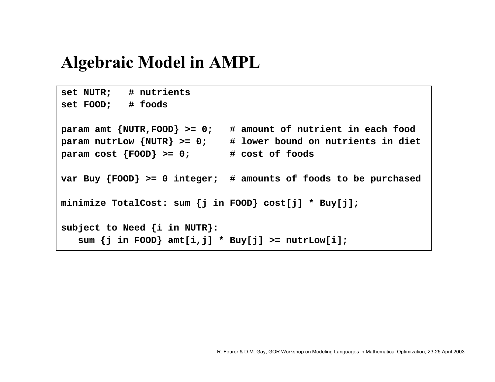# **Algebraic Model in AMPL**

```
set NUTR; # nutrients 
set FOOD; # foods 
param amt {NUTR,FOOD} >= 0; # amount of nutrient in each food 
param nutrLow {NUTR} >= 0; # lower bound on nutrients in diet
param cost {FOOD} >= 0; # cost of foods 
var Buy {FOOD} >= 0 integer; # amounts of foods to be purchased
minimize TotalCost: sum {j in FOOD} cost[j] * Buy[j]; 
subject to Need {i in NUTR}: 
   sum {j in FOOD} amt[i,j] * Buy[j] >= nutrLow[i];
```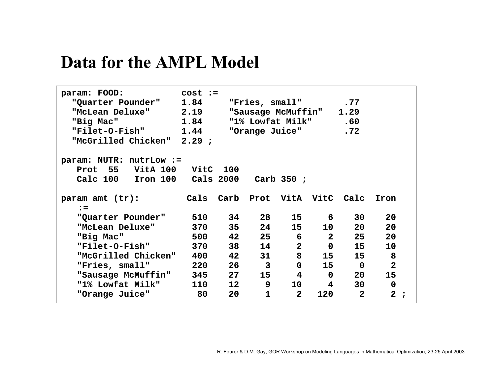# **Data for the AMPL Model**

| param: FOOD:<br>"Quarter Pounder"<br>"McLean Deluxe"<br>"Big Mac"<br>"Filet-O-Fish"<br>"McGrilled Chicken" 2.29 ; | $cost :=$<br>1.84<br>2.19<br>1.84<br>1.44 |                   | "Fries, small"<br>"Sausage McMuffin"<br>"1% Lowfat Milk"<br>"Orange Juice" |                 |                | .77<br>1.29<br>.60<br>.72         |                |   |
|-------------------------------------------------------------------------------------------------------------------|-------------------------------------------|-------------------|----------------------------------------------------------------------------|-----------------|----------------|-----------------------------------|----------------|---|
| param: NUTR: nutrLow :=                                                                                           |                                           |                   |                                                                            |                 |                |                                   |                |   |
| Prot 55<br>VitA 100                                                                                               | VitC 100                                  |                   |                                                                            |                 |                |                                   |                |   |
| Calc 100<br>Iron 100                                                                                              |                                           | Cals 2000         |                                                                            | Carb $350$ ;    |                |                                   |                |   |
|                                                                                                                   |                                           |                   |                                                                            |                 |                |                                   |                |   |
| param amt $(tr):$                                                                                                 | Cals                                      |                   | Carb Prot VitA VitC Calc                                                   |                 |                |                                   | Iron           |   |
| $\mathbf{r} =$                                                                                                    |                                           |                   |                                                                            |                 |                |                                   |                |   |
| "Quarter Pounder"                                                                                                 |                                           | 34                | 28                                                                         | 15              |                | 30 <sup>7</sup><br>$6 -$          | 20             |   |
| "McLean Deluxe"                                                                                                   | 370                                       | 35                | 24                                                                         | 15              | 10             | 20                                | 20             |   |
| "Big Mac"                                                                                                         | 500                                       | 42                | 25                                                                         | $6\overline{6}$ | $\overline{2}$ | 25                                | 20             |   |
| <b>"Filet-O-Fish"</b>                                                                                             | 370                                       | 38                | 14                                                                         | $\mathbf{2}$    |                | $\overline{0}$<br>15 <sub>1</sub> | 10             |   |
| "McGrilled Chicken"                                                                                               | 400 - 100                                 | 42                | 31                                                                         | 8               | 15             | 15                                | 8              |   |
| "Fries, small"                                                                                                    | 220                                       | 26                | $\overline{3}$                                                             | $\mathbf 0$     | 15             | $\mathbf 0$                       | $\overline{2}$ |   |
| "Sausage McMuffin"                                                                                                | 345                                       | 27                | 15                                                                         | $\overline{4}$  | $\mathbf 0$    | 20                                | 15             |   |
| "1% Lowfat Milk"                                                                                                  | 110                                       | $12 \overline{ }$ | 9                                                                          | 10              | 4              | 30                                | $\mathbf 0$    |   |
| "Orange Juice"                                                                                                    | 80                                        | 20                | $\mathbf{1}$                                                               | $\mathbf{2}$    | 120            | $\overline{2}$                    | $\mathbf{2}$   | , |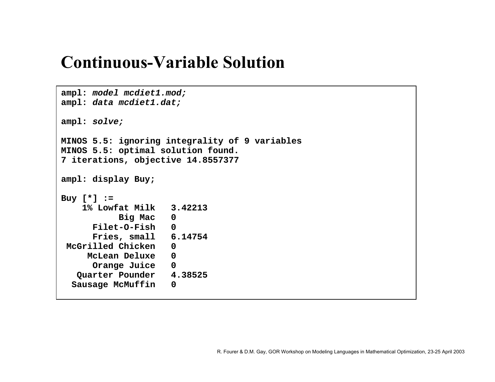# **Continuous-Variable Solution**

```
ampl: model mcdiet1.mod;
ampl: data mcdiet1.dat;
ampl: solve;
MINOS 5.5: ignoring integrality of 9 variables 
MINOS 5.5: optimal solution found. 
7 iterations, objective 14.8557377 
ampl: display Buy; 
Buy [*] := 
    1% Lowfat Milk 3.42213 
           Big Mac 0 
      Filet-O-Fish 0 
     Fries, small 6.14754 
McGrilled Chicken 0 
    McLean Deluxe 0 
      Orange Juice 0 
   Quarter Pounder 4.38525 
  Sausage McMuffin 0
```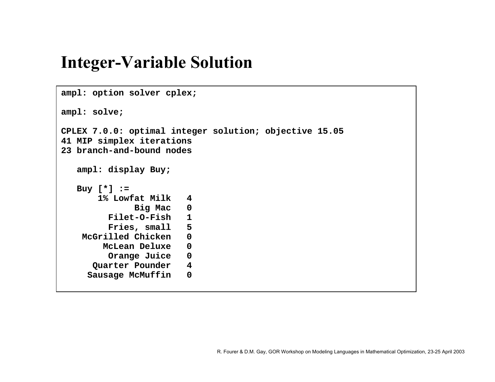# **Integer-Variable Solution**

```
ampl: option solver cplex; 
ampl: solve; 
CPLEX 7.0.0: optimal integer solution; objective 15.05 
41 MIP simplex iterations 
23 branch-and-bound nodesampl: display Buy; 
   Buy [*] := 
       1% Lowfat Milk 4 
              Big Mac 0 
         Filet-O-Fish 1 
         Fries, small 5 
    McGrilled Chicken 0 
        McLean Deluxe 0 
         Orange Juice 0 
      Quarter Pounder 4 
     Sausage McMuffin 0
```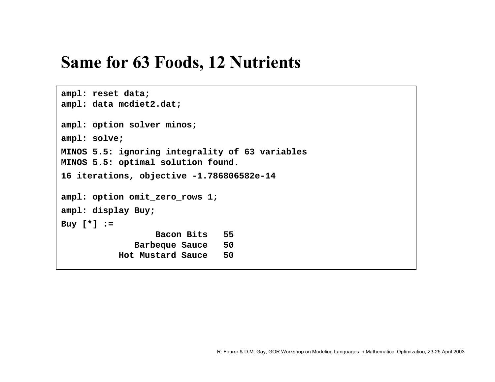# **Same for 63 Foods, 12 Nutrients**

```
ampl: reset data;
ampl: data mcdiet2.dat; 
ampl: option solver minos;
ampl: solve; 
MINOS 5.5: ignoring integrality of 63 variables 
MINOS 5.5: optimal solution found. 
16 iterations, objective -1.786806582e-14 
ampl: option omit_zero_rows 1; 
ampl: display Buy; 
Buy [*] := 
                  Bacon Bits 55 
              Barbeque Sauce 50 
           Hot Mustard Sauce 50
```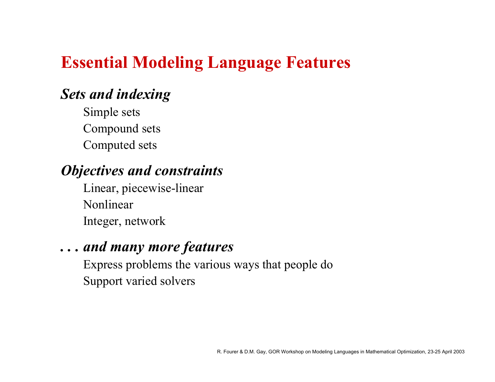# **Essential Modeling Language Features**

### *Sets and indexing*

Simple sets Compound sets Computed sets

### *Objectives and constraints*

Linear, piecewise-linear NonlinearInteger, network

#### *. . . and many more features*

Express problems the various ways that people do Support varied solvers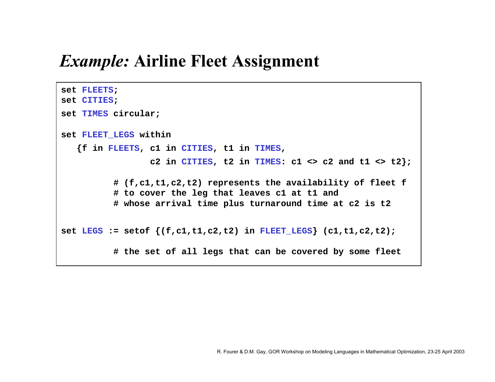# *Example:* **Airline Fleet Assignment**

```
set FLEETS;
set CITIES;
set TIMES circular;
set FLEET_LEGS within
   {f in FLEETS, c1 in CITIES, t1 in TIMES, 
                  c2 in CITIES, t2 in TIMES: c1 \Leftrightarrow c2 and t1 \Leftrightarrow t2;
          # (f,c1,t1,c2,t2) represents the availability of fleet f
          # to cover the leg that leaves c1 at t1 and 
          # whose arrival time plus turnaround time at c2 is t2 
set LEGS := setof {(f,c1,t1,c2,t2) in FLEET_LEGS} (c1,t1,c2,t2);
          # the set of all legs that can be covered by some fleet
```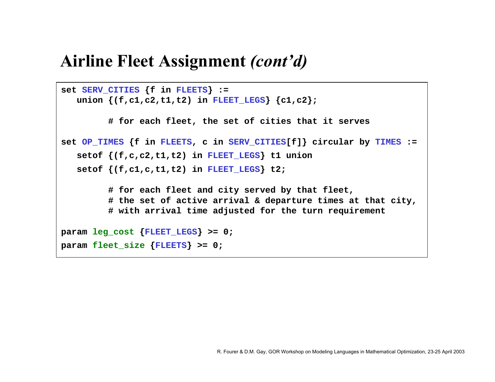## **Airline Fleet Assignment** *(contíd)*

```
set SERV_CITIES {f in FLEETS} :=
   union {(f,c1,c2,t1,t2) in FLEET_LEGS} {c1,c2};
         # for each fleet, the set of cities that it serves
set OP_TIMES {f in FLEETS, c in SERV_CITIES[f]} circular by TIMES :=
   setof {(f,c,c2,t1,t2) in FLEET_LEGS} t1 union 
   setof {(f,c1,c,t1,t2) in FLEET_LEGS} t2;
         # for each fleet and city served by that fleet,
         # the set of active arrival & departure times at that city,
         # with arrival time adjusted for the turn requirement
param leg_cost
{FLEET_LEGS} >= 0;
param fleet_size
{FLEETS} >= 0;
```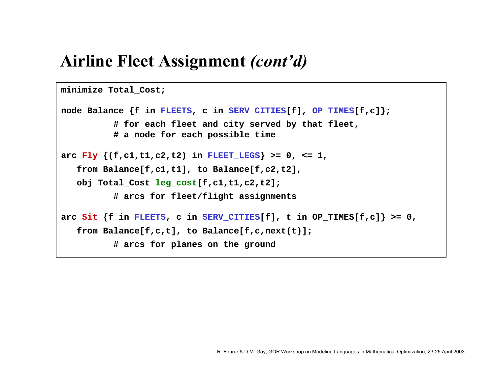# **Airline Fleet Assignment** *(contíd)*

```
minimize Total_Cost;
```

```
node Balance {f in FLEETS, c in SERV_CITIES[f], OP_TIMES[f,c]};
          # for each fleet and city served by that fleet,
          # a node for each possible time
arc Fly \{(f,c1,t1,c2,t2) in FLEET LEGS \} >= 0, <= 1,
   from Balance[f,c1,t1], to Balance[f,c2,t2],
   obj Total_Cost leg_cost[f,c1,t1,c2,t2];
          # arcs for fleet/flight assignments
arc Sit {f in FLEETS, c in SERV_CITIES[f], t in OP_TIMES[f,c]} >= 0,
   from Balance[f,c,t], to Balance[f,c,next(t)];
          # arcs for planes on the ground
```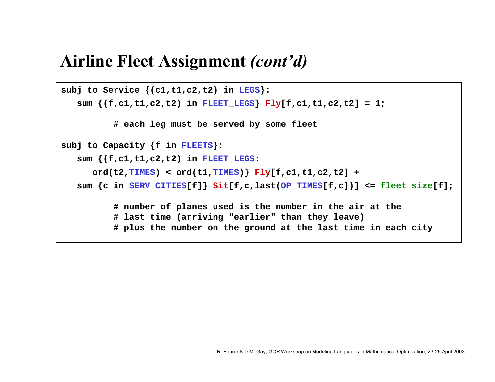# **Airline Fleet Assignment** *(contíd)*

```
subj to Service {(c1,t1,c2,t2) in LEGS}:
   sum {(f,c1,t1,c2,t2) in FLEET_LEGS} Fly[f,c1,t1,c2,t2] = 1;
          # each leg must be served by some fleet
subj to Capacity {f in FLEETS}:
   sum {(f,c1,t1,c2,t2) in FLEET_LEGS: 
      ord(t2,TIMES) < ord(t1,TIMES)} Fly[f,c1,t1,c2,t2] +
   sum {c in SERV_CITIES[f]} Sit[f,c,last(OP_TIMES[f,c])] <= fleet_size[f];
          # number of planes used is the number in the air at the
          # last time (arriving "earlier" than they leave)
          # plus the number on the ground at the last time in each city
```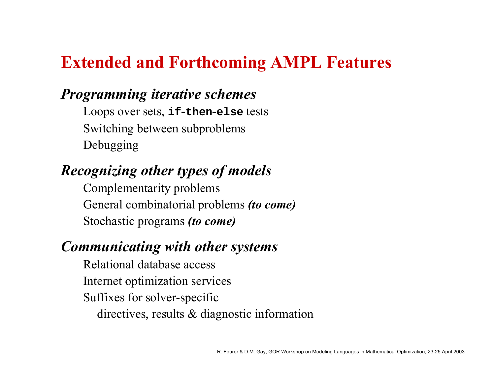# **Extended and Forthcoming AMPL Features**

#### *Programming iterative schemes*

Loops over sets, **if -then -else** tests Switching between subproblems Debugging

## *Recognizing other types of models*

Complementarity problems General combinatorial problems *(to come)* Stochastic programs *(to come)*

#### *Communicating with other systems*

Relational database accessInternet optimization services Suffixes for solver-specific directives, results & diagnostic information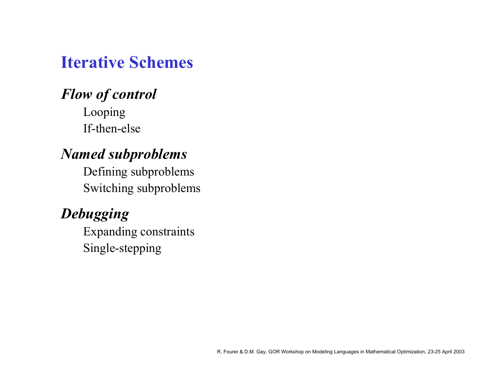# **Iterative Schemes**

#### *Flow of control* Looping

If-then-else

#### *Named subproblems*

Defining subproblems Switching subproblems

## *Debugging*

Expanding constraints Single-stepping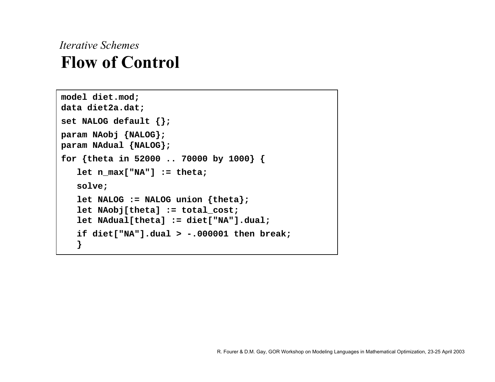## *Iterative Schemes***Flow of Control**

```
model diet.mod; 
data diet2a.dat;
set NALOG default {};
param NAobj {NALOG};
param NAdual {NALOG};
for {theta in 52000 .. 70000 by 1000} {
   let n_max["NA"] := theta;
   solve;
   let NALOG := NALOG union {theta};
   let NAobj[theta] := total_cost;
   let NAdual[theta] := diet["NA"].dual;
   if diet["NA"].dual > -.000001 then break;
   }
```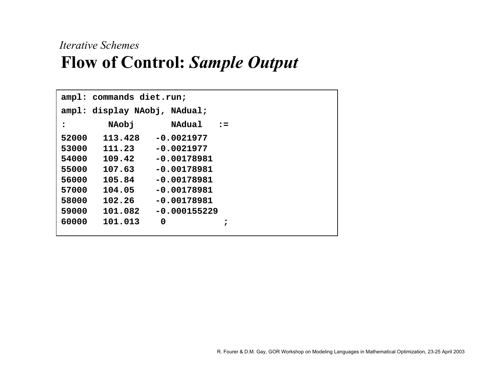## *Iterative Schemes* **Flow of Control:** *Sample Output*

|       | ampl: commands diet.run;     |                |                |  |  |
|-------|------------------------------|----------------|----------------|--|--|
|       | ampl: display NAobj, NAdual; |                |                |  |  |
| :     | NAobj                        | <b>NAdual</b>  | $\mathbf{r}$ : |  |  |
| 52000 | 113.428                      | $-0.0021977$   |                |  |  |
| 53000 | 111.23                       | $-0.0021977$   |                |  |  |
| 54000 | 109.42                       | $-0.00178981$  |                |  |  |
| 55000 | 107.63                       | $-0.00178981$  |                |  |  |
| 56000 | 105.84                       | $-0.00178981$  |                |  |  |
| 57000 | 104.05                       | $-0.00178981$  |                |  |  |
| 58000 | 102.26                       | $-0.00178981$  |                |  |  |
| 59000 | 101.082                      | $-0.000155229$ |                |  |  |
| 60000 | 101.013                      | 0              | ;              |  |  |
|       |                              |                |                |  |  |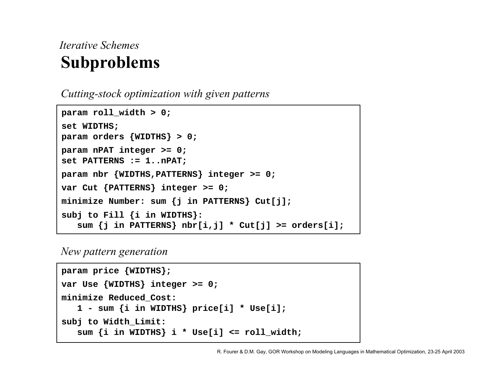## *Iterative Schemes***Subproblems**

*Cutting-stock optimization with given patterns*

```
param roll_width > 0; 
set WIDTHS;
param orders {WIDTHS} > 0;
param nPAT integer >= 0;
set PATTERNS := 1..nPAT;
param nbr {WIDTHS,PATTERNS} integer >= 0;
var Cut {PATTERNS} integer >= 0;
minimize Number: sum {j in PATTERNS} Cut[j];
subj to Fill {i in WIDTHS}:
   sum {j in PATTERNS} nbr[i,j] * Cut[j] >= orders[i];
```
#### *New pattern generation*

```
param price {WIDTHS};
var Use {WIDTHS} integer >= 0;
minimize Reduced_Cost:
   1 - sum {i in WIDTHS} price[i] * Use[i];
subj to Width_Limit:
   sum {i in WIDTHS} i * Use[i] <= roll_width;
```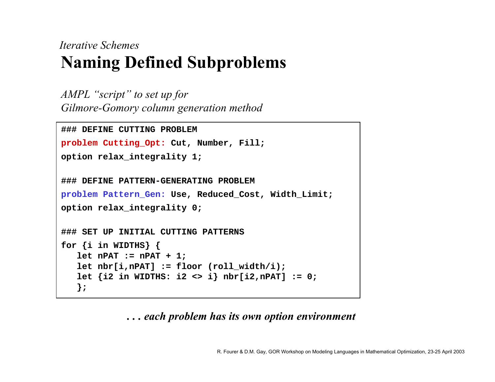## *Iterative Schemes***Naming Defined Subproblems**

*AMPL "script" to set up for Gilmore-Gomory column generation method*

```
### DEFINE CUTTING PROBLEM
problem Cutting_Opt: Cut, Number, Fill;
option relax_integrality 1;
### DEFINE PATTERN-GENERATING PROBLEM
problem Pattern_Gen: Use, Reduced_Cost, Width_Limit;
option relax_integrality 0;
### SET UP INITIAL CUTTING PATTERNS
for {i in WIDTHS} {
   let nPAT := nPAT + 1;
   let nbr[i,nPAT] := floor (roll_width/i);
   let {i2 in WIDTHS: i2 <> i} nbr[i2,nPAT] := 0;
   };
```
*. . . each problem has its own option environment*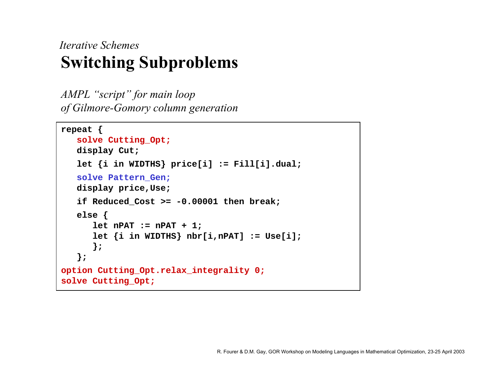## *Iterative Schemes***Switching Subproblems**

*AMPL* "*script*" for main loop *of Gilmore-Gomory column generation*

```
repeat {
   solve Cutting_Opt;
   display Cut;
   let {i in WIDTHS} price[i] := Fill[i].dual;
   solve Pattern_Gen;
   display price,Use;
   if Reduced_Cost >= -0.00001 then break;
   else {
      let nPAT := nPAT + 1;
      let {i in WIDTHS} nbr[i,nPAT] := Use[i];
      };
   };
option Cutting_Opt.relax_integrality 0;
solve Cutting_Opt;
```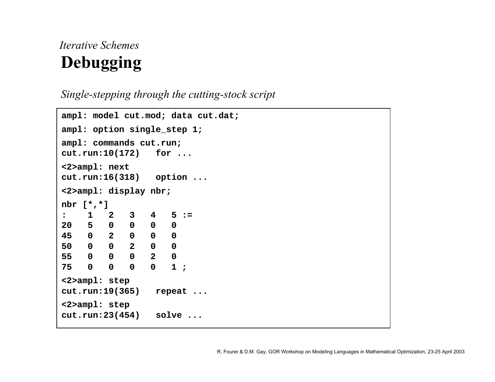## *Iterative Schemes***Debugging**

*Single-stepping through the cutting-stock script*

```
ampl: model cut.mod; data cut.dat;
ampl: option single_step 1;
ampl: commands cut.run;
cut.run:10(172) for ...
<2>ampl: next
cut.run:16(318) option ...
<2>ampl: display nbr;
nbr [*,*]
: 1 2 3 4 5 :=20 5 0 0 0 0
45 0 2 0 0 0
50 0 0 2 0 0
55 0 0 0 2 0
75 0 0 0 0 1 ;
<2>ampl: step
cut.run:19(365) repeat ...
<2>ampl: step
cut.run:23(454) solve ...
```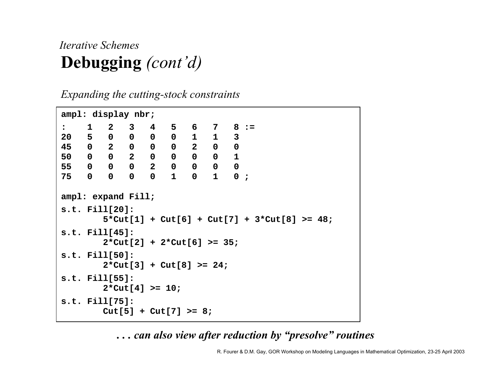## *Iterative Schemes***Debugging** *(cont'd)*

*Expanding the cutting-stock constraints*

```
ampl: display nbr;
: 1 2 3 4 5 6 7 8 :=
20 5 0 0 0 0 1 1 3
45 0 2 0 0 0 2 0 0
50 0 0 2 0 0 0 0 1
55 0 0 0 2 0 0 0 0
75 0 0 0 0 1 0 1 0 ;
ampl: expand Fill;
s.t. Fill[20]:
         5*Cut[1] + Cut[6] + Cut[7] + 3*Cut[8] >= 48;
s.t. Fill[45]:
         2*Cut[2] + 2*Cut[6] >= 35;
s.t. Fill[50]:
         2*Cut[3] + Cut[8] >= 24;
s.t. Fill[55]:
         2*Cut[4] >= 10;
s.t. Fill[75]:
         Cut[5] + Cut[7] >= 8;
```
 $\dots$  can also view after reduction by "presolve" routines

R. Fourer & D.M. Gay, GOR Workshop on Modeling Languages in Mathematical Optimization, 23-25 April 2003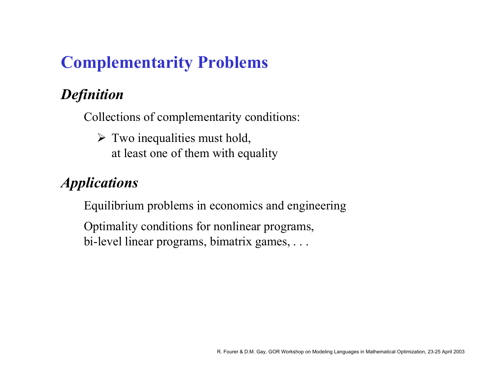# **Complementarity Problems**

# *Definition*

Collections of complementarity conditions:

 $\triangleright$  Two inequalities must hold, at least one of them with equality

## *Applications*

Equilibrium problems in economics and engineering

Optimality conditions for nonlinear programs, bi-level linear programs, bimatrix games, . . .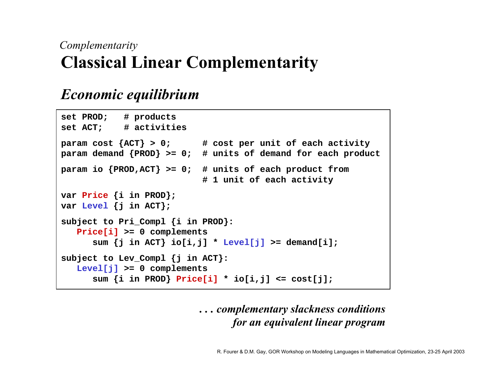### *Complementarity* **Classical Linear Complementarity**

#### *Economic equilibrium*

```
set PROD; # products
set ACT; # activities
param cost {ACT} > 0; # cost per unit of each activity
param demand {PROD} >= 0; # units of demand for each product
param io {PROD,ACT} >= 0; # units of each product from
                          # 1 unit of each activity
var Price {i in PROD};
var Level {j in ACT};
subject to Pri_Compl {i in PROD}:
  Price[i] >= 0 complements
      sum {j in ACT} io[i,j] * Level[j] >= demand[i];
subject to Lev_Compl {j in ACT}:
   Level[j] >= 0 complements
      sum {i in PROD} Price[i] * io[i,j] <= cost[j];
```
#### *. . . complementary slackness conditions for an equivalent linear program*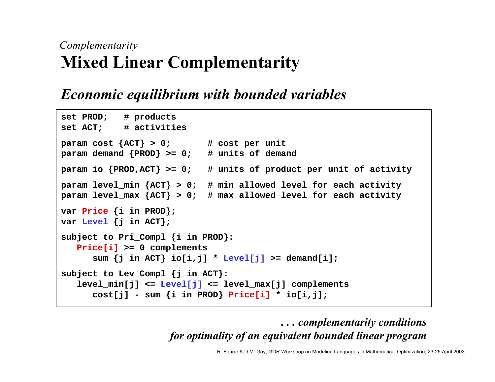## *Complementarity* **Mixed Linear Complementarity**

### *Economic equilibrium with bounded variables*

```
set PROD; # products
set ACT; # activities
param cost {ACT} > 0; # cost per unit
param demand {PROD} >= 0; # units of demand
param io {PROD,ACT} >= 0; # units of product per unit of activity
param level_min {ACT} > 0; # min allowed level for each activity
param level_max {ACT} > 0; # max allowed level for each activity
var Price {i in PROD};
var Level {j in ACT};
subject to Pri_Compl {i in PROD}:
   Price[i] >= 0 complements
      sum {j in ACT} io[i,j] * Level[j] >= demand[i];
subject to Lev_Compl {j in ACT}:
   level_min[j] <= Level[j] <= level_max[j] complements
      cost[j] - sum {i in PROD} Price[i] * io[i,j];
```
*. . . complementarity conditions for optimality of an equivalent bounded linear program*

R. Fourer & D.M. Gay, GOR Workshop on Modeling Languages in Mathematical Optimization, 23-25 April 2003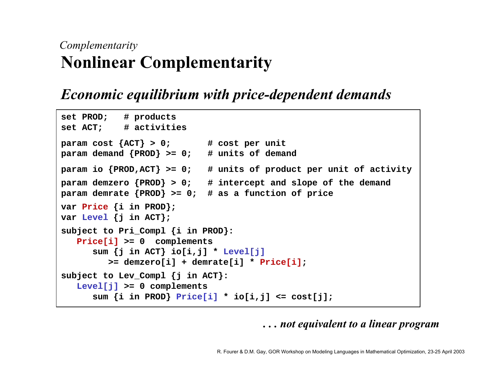## *Complementarity* **Nonlinear Complementarity**

### *Economic equilibrium with price-dependent demands*

```
set PROD; # products
set ACT; # activities
param cost {ACT} > 0; # cost per unit
param demand {PROD} >= 0; # units of demand
param io {PROD,ACT} >= 0; # units of product per unit of activity
param demzero {PROD} > 0; # intercept and slope of the demand
param demrate {PROD} >= 0; # as a function of price
var Price {i in PROD};
var Level {j in ACT};
subject to Pri_Compl {i in PROD}:
  Price[i] >= 0 complements
      sum {j in ACT} io[i,j] * Level[j]
         >= demzero[i] + demrate[i] * Price[i];
subject to Lev_Compl {j in ACT}:
   Level[j] >= 0 complements
      sum {i in PROD} Price[i] * io[i,j] <= cost[j];
```
*. . . not equivalent to a linear program*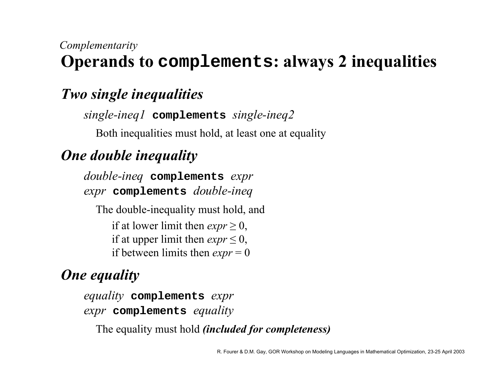#### *Complementarity* **Operands to complements: always 2 inequalities**

## *Two single inequalities*

*single-ineq1* **complements** *single-ineq2*

Both inequalities must hold, at least one at equality

## *One double inequality*

*double-ineq* **complements** *expr expr* **complements** *double-ineq*

The double-inequality must hold, and if at lower limit then  $exp r \geq 0$ , if at upper limit then  $exp r \leq 0$ , if between limits then  $exp r = 0$ 

## *One equality*

*equality* **complements** *expr expr* **complements** *equality*

The equality must hold *(included for completeness)*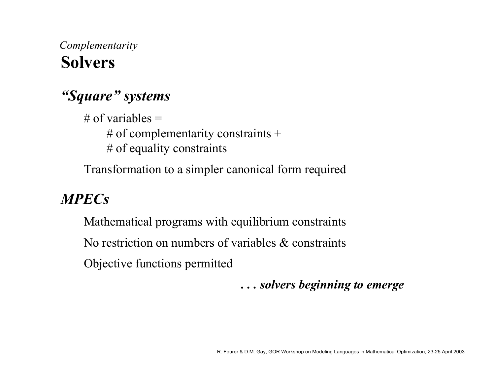## *Complementarity* **Solvers**

#### *<i><u><sup>s</sup>Square<sup>?</sup>* systems</sub></u>

# of variables  $=$ # of complementarity constraints  $+$ # of equality constraints

Transformation to a simpler canonical form required

### *MPECs*

Mathematical programs with equilibrium constraints No restriction on numbers of variables & constraintsObjective functions permitted

*. . . solvers beginning to emerge*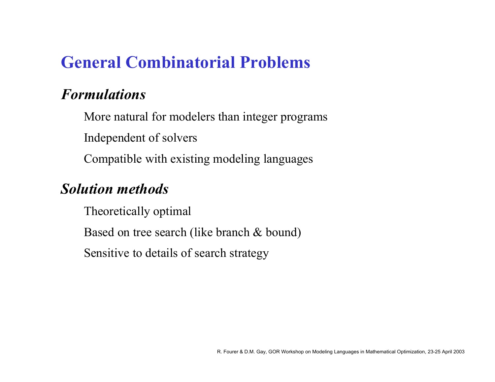# **General Combinatorial Problems**

#### *Formulations*

More natural for modelers than integer programs Independent of solvers Compatible with existing modeling languages

### *Solution methods*

Theoretically optimal

Based on tree search (like branch & bound)

Sensitive to details of search strategy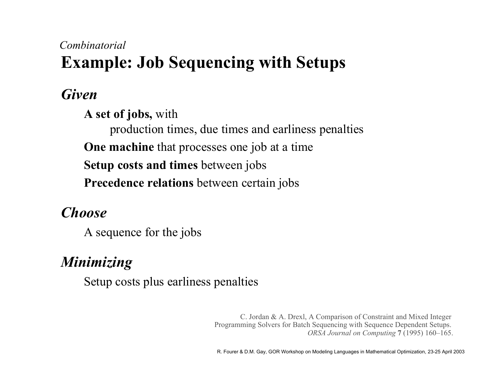## **Example: Job Sequencing with Setups** *Combinatorial*

*Given*

**A set of jobs,** with

production times, due times and earliness penalties **One machine** that processes one job at <sup>a</sup> time **Setup costs and times** between jobs

**Precedence relations** between certain jobs

## *Choose*

A sequence for the jobs

# *Minimizing*

Setup costs plus earliness penalties

C. Jordan & A. Drexl, A Comparison of Constraint and Mixed Integer Programming Solvers for Batch Sequencing with Sequence Dependent Setups. *ORSA Journal on Computing* 7 (1995) 160–165.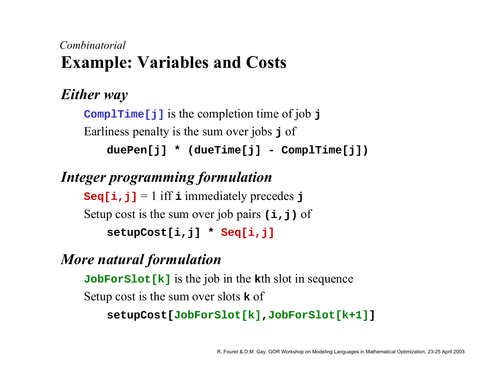## **Example: Variables and Costs** *Combinatorial*

## *Either way*

**ComplTime[j]** is the completion time of job **j** Earliness penalty is the sum over jobs **j** of **duePen[j] \* (dueTime[j] - ComplTime[j])**

## *Integer programming formulation*

**Seq[i,j]** <sup>=</sup> 1 iff **i** immediately precedes **j** Setup cost is the sum over job pairs  $(i, j)$  of **setupCost[i,j] \* Seq[i,j]**

#### *More natural formulation*

**JobForSlot[k]** is the job in the **<sup>k</sup>**th slot in sequence Setup cost is the sum over slots **k** of

```
setupCost[JobForSlot[k]
,JobForSlot[k+1]]
```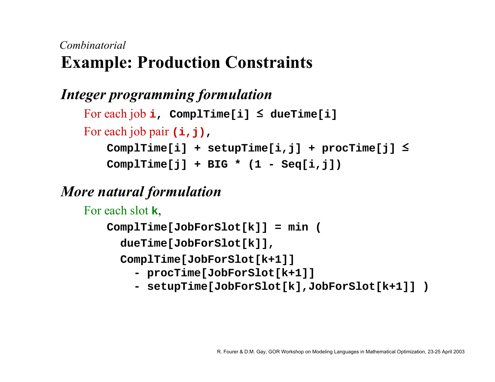## **Example: Production Constraints** *Combinatorial*

## *Integer programming formulation*

```
For each job
i, ComplTime[i] 
≤ dueTime[i]
For each job pair (i,j)
,
   ComplTime[i] + setupTime[i,j] + procTime[j]
≤
```
**ComplTime[j] <sup>+</sup> BIG \* (1 - Seq[i,j])**

#### *More natural formulation*

For each slot **k**,

**ComplTime[JobForSlot[k]] <sup>=</sup> min (**

**dueTime[JobForSlot[k]],**

**ComplTime[JobForSlot[k+1]]**

- **- procTime[JobForSlot[k+1]]**
- **- setupTime[JobForSlot[k],JobForSlot[k+1]] )**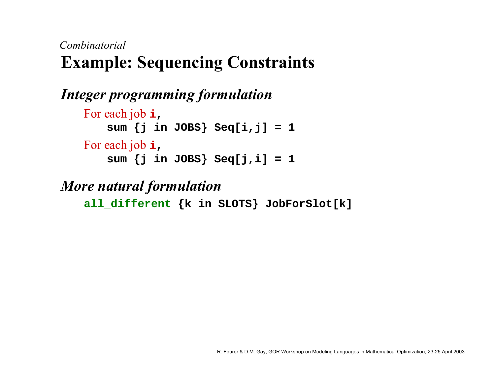## **Example: Sequencing Constraints** *Combinatorial*

```
Integer programming formulation
    For each job
i
,
       sum {j in JOBS} Seq[i,j] = 1
    For each job
i
,
       sum {j in JOBS} Seq[j,i] = 1
```
#### *More natural formulation*

**all\_different {k in SLOTS} JobForSlot[k]**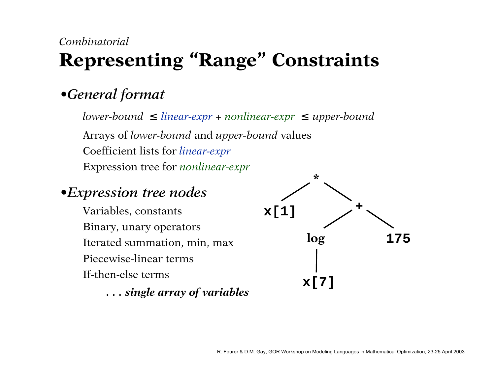# **Representing "Range" Constraints**

### **•***General format*

*lower-bound* ≤ *linear-expr* + *nonlinear-expr* ≤ *upper-bound* Arrays of *lower-bound* and *upper-bound* values Coefficient lists for *linear-expr* Expression tree for *nonlinear-expr*

#### **•***Expression tree nodes*

Variables, constants Binary, unary operators Iterated summation, min, max Piecewise-linear termsIf-then-else terms

*. . . single array of variables*

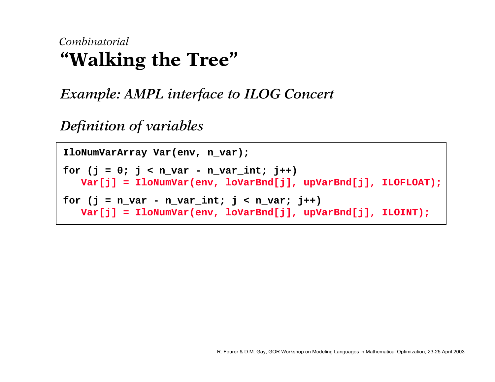# **"Walking the Tree"** *Combinatorial*

*Example: AMPL interface to ILOG Concert*

*Definition of variables*

```
IloNumVarArray Var(env, n_var);
for (j = 0; j < n var - n var_int; j++)Var[j] = IloNumVar(env, loVarBnd[j], upVarBnd[j], ILOFLOAT);
for (i = n \text{ var} - n \text{ var} \text{ int}; i < n \text{ var}; i++)Var[j] = IloNumVar(env, loVarBnd[j], upVarBnd[j], ILOINT);
```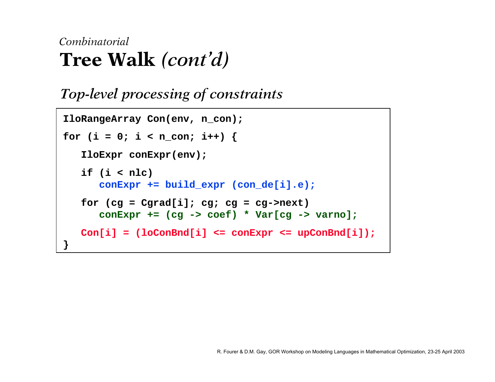### *Top-level processing of constraints*

```
IloRangeArray Con(env, n_con);
for (i = 0; i < n_{con}; i++)IloExpr conExpr(env);
   if (i < nlc)
      conExpr += build_expr (con_de[i].e);
   for (cg = Cgrad[i]; cg; cg = cg->next)
      conExpr += (cg -> coef) * Var[cg -> varno];
   Con[i] = (loConEnd[i]) \leq conExpr \leq upConEnd[i]);
}
```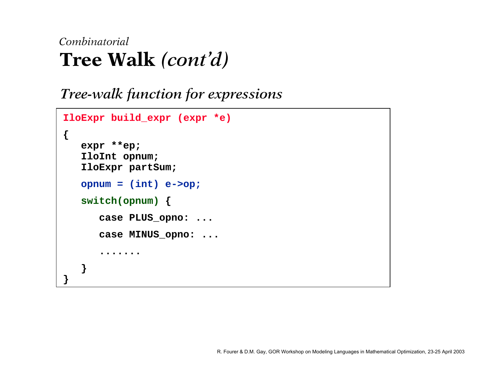```
Tree-walk function for expressions
```

```
IloExpr build_expr (expr *e)
{
   expr **ep;
   IloInt opnum;
   IloExpr partSum;
   opnum = (int) e->op;
   switch(opnum)
{
      case PLUS_opno: ...
      case MINUS_opno: ...
       .......}
}
```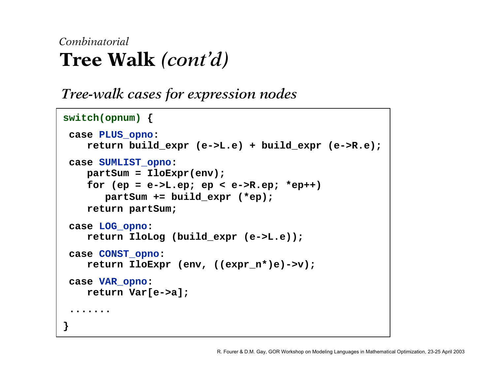*Tree-walk cases for expression nodes*

```
switch(opnum)
{
 case PLUS_opno:
   return build_expr (e->L.e) + build_expr (e->R.e);
 case SUMLIST_opno:
   partSum = IloExpr(env);
   for (ep = e->L.ep; ep < e->R.ep; *ep++)
      partSum += build_expr (*ep);
   return partSum;
 case LOG_opno:
   return IloLog (build_expr (e->L.e));
 case CONST_opno:
   return IloExpr (env, ((expr_n*)e)->v);
 case VAR_opno:
   return Var[e->a];
 .......}
```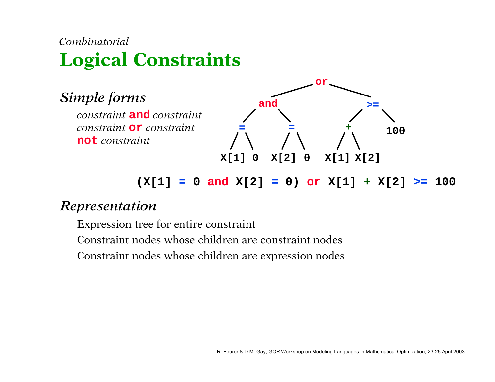# **Logical Constraints** *Combinatorial*



**(X[1] = 0 and X[2] = 0) or X[1] + X[2] >= 100**

#### *Representation*

Expression tree for entire constraint

Constraint nodes whose children are constraint nodes

Constraint nodes whose children are expression nodes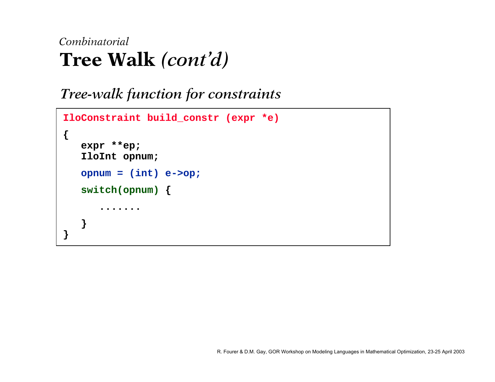#### *Tree-walk function for constraints*

```
IloConstraint build_constr (expr *e)
{
   expr **ep;
   IloInt opnum;
   opnum = (int) e->op;
   switch(opnum)
{
       .......}
}
```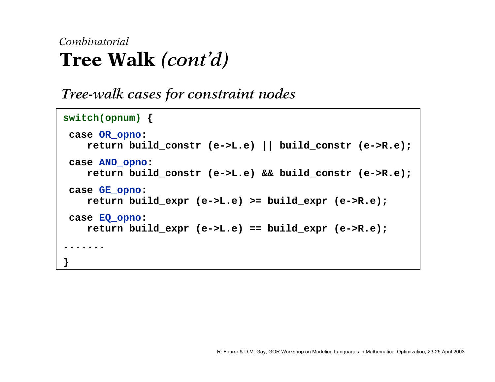*Tree-walk cases for constraint nodes*

```
switch(opnum)
{
 case OR_opno:
   return build_constr (e->L.e) || build_constr (e->R.e);
 case AND_opno:
   return build_constr (e->L.e) && build_constr (e->R.e);
 case GE_opno:
   return build_expr (e->L.e) >= build_expr (e->R.e);
 case EQ_opno:
   return build_expr (e->L.e) == build_expr (e->R.e);
.......}
```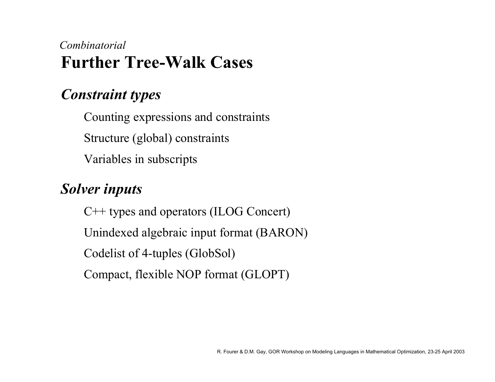# **Further Tree-Walk Cases** *Combinatorial*

#### *Constraint types*

Counting expressions and constraints Structure (global) constraints Variables in subscripts

#### *Solver inputs*

C++ types and operators (ILOG Concert) Unindexed algebraic input format (BARON) Codelist of 4-tuples (GlobSol) Compact, flexible NOP format (GLOPT)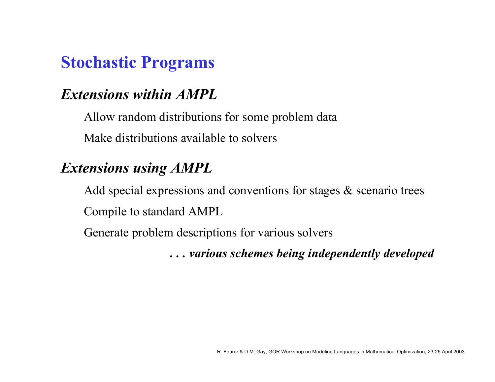# **Stochastic Programs**

## *Extensions within AMPL*

Allow random distributions for some problem data

Make distributions available to solvers

# *Extensions using AMPL*

Add special expressions and conventions for stages & scenario trees Compile to standard AMPL

Generate problem descriptions for various solvers

*. . . various schemes being independently developed*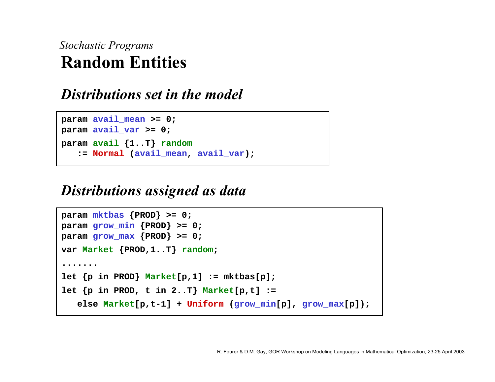## **Random Entities***Stochastic Programs*

#### *Distributions set in the model*

```
param avail_mean >= 0;
param avail_var >= 0;
param avail {1..T} random
   := Normal (avail_mean, avail_var);
```
#### *Distributions assigned as data*

```
param mktbas {PROD} >= 0;
param grow_min {PROD} >= 0;
param grow_max {PROD} >= 0;
var Market {PROD,1..T} random;
.......let {p in PROD} Market[p,1] := mktbas[p];
let {p in PROD, t in 2..T} Market[p,t] :=
   else Market[p,t-1] + Uniform (grow_min[p], grow_max[p]);
```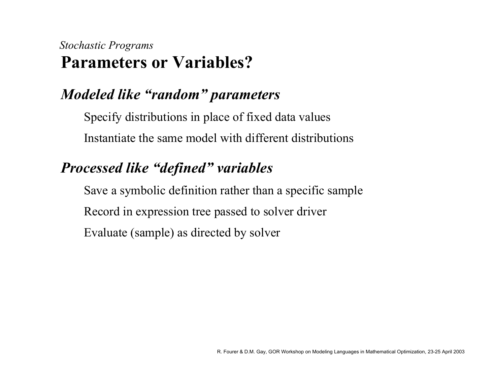## **Parameters or Variables?***Stochastic Programs*

## *Modeled like "random" parameters*

Specify distributions in place of fixed data values Instantiate the same model with different distributions

## *Processed like "defined" variables*

Save a symbolic definition rather than a specific sample Record in expression tree passed to solver driver Evaluate (sample) as directed by solver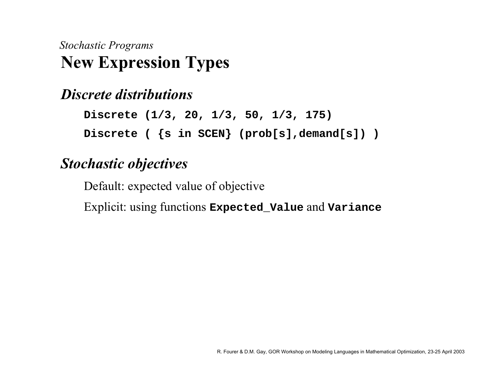# **New Expression Types** *Stochastic Programs*

#### *Discrete distributions*

**Discrete (1/3, 20, 1/3, 50, 1/3, 175) Discrete ( {s in SCEN} (prob[s],demand[s]) )**

#### *Stochastic objectives*

Default: expected value of objective

Explicit: using functions **Expected\_Value** and **Variance**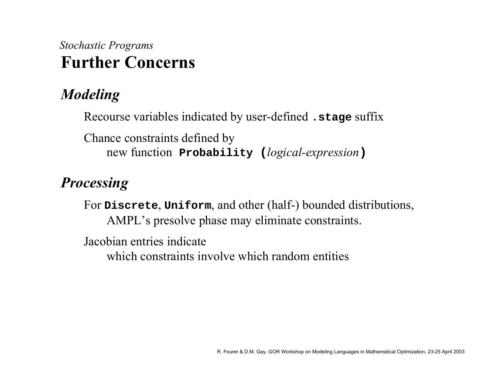# **Further Concerns** *Stochastic Programs*

# *Modeling*

Recourse variables indicated by user-defined **.stage** suffix

Chance constraints defined by new function **Probability (***logical-expression* **)**

#### *Processing*

For **Discrete**, **Uniform**, and other (half-) bounded distributions, AMPL's presolve phase may eliminate constraints.

Jacobian entries indicate

which constraints involve which random entities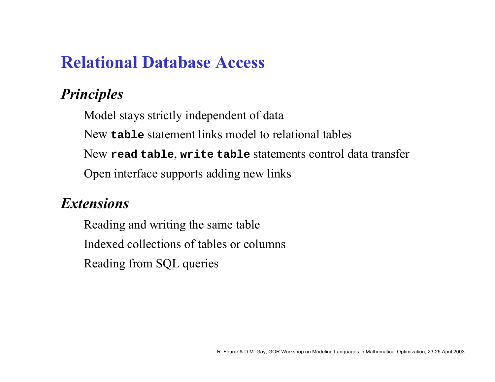# **Relational Database Access**

# *Principles*

Model stays strictly independent of data

New **table** statement links model to relational tables

New **read table**, **write table** statements control data transfer

Open interface supports adding new links

#### *Extensions*

Reading and writing the same table Indexed collections of tables or columnsReading from SQL queries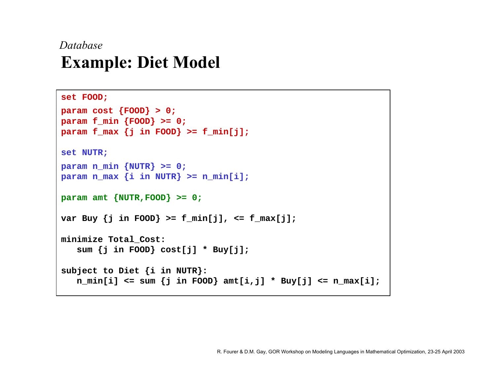## **Example: Diet Model** *Database*

```
set FOOD;
param cost {FOOD} > 0;
param f_min {FOOD} >= 0;
param f_max {j in FOOD} >= f_min[j];
set NUTR;
param n_min {NUTR} >= 0;
param n_max {i in NUTR} >= n_min[i];
param amt {NUTR,FOOD} >= 0;
var Buy {j in FOOD} >= f_min[j], <= f_max[j];
minimize Total_Cost: 
   sum {j in FOOD} cost[j] * Buy[j];
subject to Diet {i in NUTR}:
   n_min[i] <= sum {j in FOOD} amt[i,j] * Buy[j] <= n_max[i];
```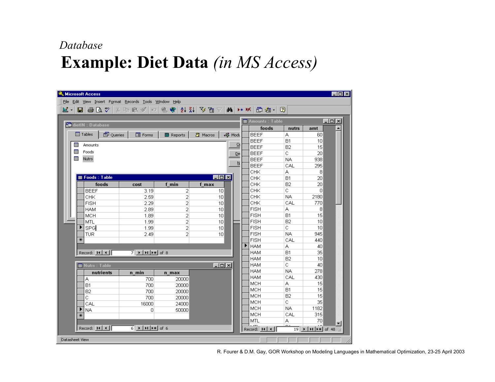#### *Database*

# **Example: Diet Data** *(in MS Access)*

| $\Box$ D $\Box$<br><b>K</b> Microsoft Access           |                                                                                      |                                       |                       |        |  |                         |              |                                                                                                                                                                       |  |
|--------------------------------------------------------|--------------------------------------------------------------------------------------|---------------------------------------|-----------------------|--------|--|-------------------------|--------------|-----------------------------------------------------------------------------------------------------------------------------------------------------------------------|--|
| File Edit View Insert Format Records Tools Window Help |                                                                                      |                                       |                       |        |  |                         |              |                                                                                                                                                                       |  |
|                                                        |                                                                                      |                                       |                       |        |  |                         |              |                                                                                                                                                                       |  |
| $\Box$ ol $\times$                                     |                                                                                      |                                       |                       |        |  |                         |              |                                                                                                                                                                       |  |
| dietIN : Database                                      |                                                                                      |                                       |                       |        |  | <b>田 Amounts: Table</b> |              |                                                                                                                                                                       |  |
|                                                        |                                                                                      |                                       |                       |        |  | foods                   | nutrs        | amt                                                                                                                                                                   |  |
| <b>ED</b> Tables<br><sup>图</sup> Queries               | 图 Forms                                                                              | $\blacksquare$ Reports $\blacksquare$ | 园 Macros              | √ Modu |  | <b>BEEF</b>             | А            | 60                                                                                                                                                                    |  |
| 團<br>Amounts                                           |                                                                                      |                                       |                       | ⊴      |  | <b>BEEF</b>             | <b>B1</b>    | 10 <sup>1</sup>                                                                                                                                                       |  |
| 團<br>Foods                                             |                                                                                      |                                       |                       |        |  | <b>BEEF</b>             | <b>B2</b>    | 15                                                                                                                                                                    |  |
|                                                        |                                                                                      |                                       |                       | ⊵e     |  | <b>BEEF</b>             | C.           | 20                                                                                                                                                                    |  |
| 圛<br><b>Nutrs</b>                                      |                                                                                      |                                       |                       | N      |  | <b>BEEF</b>             | NA.          | 938                                                                                                                                                                   |  |
|                                                        |                                                                                      |                                       |                       |        |  | <b>BEEF</b>             | CAL          | 295                                                                                                                                                                   |  |
|                                                        |                                                                                      |                                       |                       |        |  | CHK                     | A            | 8                                                                                                                                                                     |  |
| <b>  Foods: Table</b>                                  |                                                                                      |                                       | $\Box$ o $\mathbf{x}$ |        |  | CHK                     | B1           | 20                                                                                                                                                                    |  |
| foods                                                  | cost                                                                                 | f min                                 | f max                 |        |  | CHK                     | B2           | 20                                                                                                                                                                    |  |
| <b>BEEF</b>                                            | 3.19                                                                                 | 2                                     | 10                    |        |  | CHK                     | C.           | $\overline{0}$                                                                                                                                                        |  |
| CHK                                                    | 2.59                                                                                 | 2                                     | 10 <sup>1</sup>       |        |  | CHK                     | NA.          | 2180                                                                                                                                                                  |  |
| <b>FISH</b>                                            | 2.29                                                                                 | $\overline{2}$                        | 10                    |        |  | CHK                     | CAL          | 770                                                                                                                                                                   |  |
| <b>HAM</b>                                             | 2.89                                                                                 | 2                                     | 10                    |        |  | <b>FISH</b>             | А            | 8                                                                                                                                                                     |  |
| MCH                                                    | 1.89                                                                                 | 2                                     | 10                    |        |  | <b>FISH</b>             | <b>B1</b>    | 15                                                                                                                                                                    |  |
| MTL                                                    | 1.99                                                                                 | 2                                     | 10                    |        |  | <b>FISH</b>             | B2           | 10 <sup>1</sup>                                                                                                                                                       |  |
| SPG                                                    | 1.99                                                                                 | 2                                     | 10 <sup>1</sup>       |        |  | <b>FISH</b>             | C.           | 10 <sup>1</sup>                                                                                                                                                       |  |
| TUR                                                    | 2.49                                                                                 | $\overline{2}$                        | 10 <sup>1</sup>       |        |  | <b>FISH</b>             | NA.          | 945                                                                                                                                                                   |  |
| ⋇                                                      |                                                                                      |                                       |                       |        |  | <b>FISH</b>             | CAL          | 440                                                                                                                                                                   |  |
|                                                        |                                                                                      |                                       |                       |        |  | Інам                    | А            | 40                                                                                                                                                                    |  |
| Record: $14$ $4$                                       | $7$ $\rightarrow$ $\mid$ $\mid$ $\mid$ $\mid$ $\mid$ $\mid$ of 8                     |                                       |                       |        |  | <b>HAM</b>              | B1           | 35                                                                                                                                                                    |  |
|                                                        |                                                                                      |                                       |                       |        |  | <b>HAM</b>              | <b>B2</b>    | 10 <sup>1</sup>                                                                                                                                                       |  |
| <b>图 Nutrs: Table</b>                                  |                                                                                      |                                       | $\Box$ ol $\times$    |        |  | <b>HAM</b>              | $\mathbb{C}$ | 40                                                                                                                                                                    |  |
| nutrients                                              | n min                                                                                | n max                                 |                       |        |  | HAM                     | NA.          | 278                                                                                                                                                                   |  |
| А                                                      | 700                                                                                  | 20000                                 |                       |        |  | <b>HAM</b>              | CAL          | 430                                                                                                                                                                   |  |
| <b>B1</b>                                              | 700                                                                                  | 20000                                 |                       |        |  | <b>MCH</b>              | А            | 15                                                                                                                                                                    |  |
| <b>B2</b>                                              | 700                                                                                  | 20000                                 |                       |        |  | MCH                     | B1           | 15                                                                                                                                                                    |  |
| C.                                                     | 700                                                                                  | 20000                                 |                       |        |  | <b>MCH</b>              | <b>B2</b>    | 15                                                                                                                                                                    |  |
| CAL                                                    | 16000                                                                                | 24000                                 |                       |        |  | <b>MCH</b>              | C.           | 35                                                                                                                                                                    |  |
| NA.                                                    | 0                                                                                    | 50000                                 |                       |        |  | MCH                     | NA.          | 1182                                                                                                                                                                  |  |
| ☀                                                      |                                                                                      |                                       |                       |        |  | MCH                     | CAL          | 315                                                                                                                                                                   |  |
|                                                        |                                                                                      |                                       |                       |        |  | MTL.                    | А            | 70                                                                                                                                                                    |  |
| Record: $14$ $4$ $\overline{\phantom{1}}$              | $6$   $\blacktriangleright$   $\blacktriangleright$   $\blacktriangleright$ #   of 6 |                                       |                       |        |  | Record: $ 14 $ 4        |              | $19$ $\blacktriangleright$ $\blacktriangleright$ $\blacktriangleright$ $\blacktriangleright$ $\blacktriangleright$ $\blacktriangleright$ $\dashv$ of 48 $\varnothing$ |  |
| Datasheet View                                         |                                                                                      |                                       |                       |        |  |                         |              |                                                                                                                                                                       |  |

R. Fourer & D.M. Gay, GOR Workshop on Modeling Languages in Mathematical Optimization, 23-25 April 2003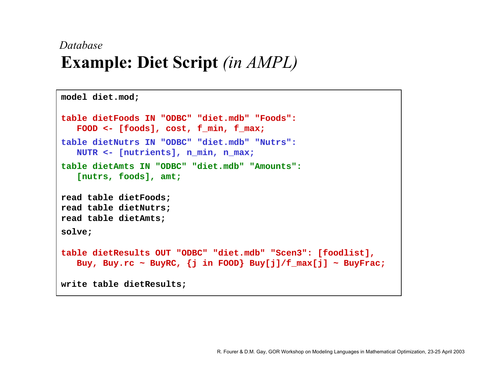## **Example: Diet Script** *(in AMPL) Database*

```
model diet.mod;
table dietFoods IN "ODBC" "diet.mdb" "Foods":FOOD <- [foods], cost, f_min, f_max;
table dietNutrs IN "ODBC" "diet.mdb" "Nutrs":NUTR <- [nutrients], n_min, n_max;
table dietAmts IN "ODBC" "diet.mdb" "Amounts":[nutrs, foods], amt;
read table dietFoods;
read table dietNutrs;
read table dietAmts;
solve;
table dietResults OUT "ODBC" "diet.mdb" "Scen3": [foodlist], 
   Buy, Buy.rc ~ BuyRC, {j in FOOD} Buy[j]/f_max[j] ~ BuyFrac;
write table dietResults;
```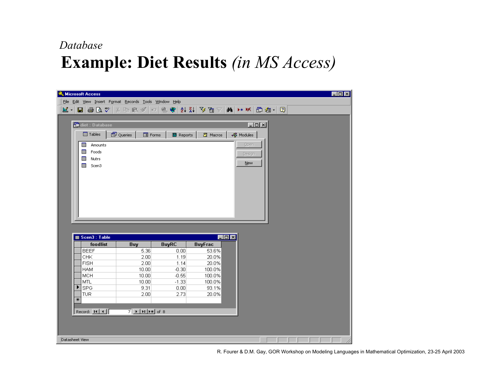#### *Database*

# **Example: Diet Results** *(in MS Access)*

|                                                        | <b>&amp; Microsoft Access</b>                                              |                                                                                                                     |                    |                  |                 |        |  |  | $\Box$ o $\mathbf{x}$ |
|--------------------------------------------------------|----------------------------------------------------------------------------|---------------------------------------------------------------------------------------------------------------------|--------------------|------------------|-----------------|--------|--|--|-----------------------|
| File Edit View Insert Format Records Tools Window Help |                                                                            |                                                                                                                     |                    |                  |                 |        |  |  |                       |
|                                                        | $\mathbb{E}$ -<br>$\blacksquare$ $\clubsuit$ $\complement$ $\triangledown$ |                                                                                                                     |                    |                  |                 |        |  |  |                       |
|                                                        |                                                                            |                                                                                                                     |                    |                  |                 |        |  |  |                       |
|                                                        | $L = 1$<br>diet : Database                                                 |                                                                                                                     |                    |                  |                 |        |  |  |                       |
|                                                        |                                                                            |                                                                                                                     |                    |                  |                 |        |  |  |                       |
|                                                        | <b>ED</b> Tables                                                           | 图 Queries<br><b>EB</b> Forms                                                                                        | <b>P</b> Reports   | 2 Macros         | √ Modules       |        |  |  |                       |
|                                                        | 囲<br>Amounts                                                               |                                                                                                                     |                    |                  |                 | Ореп   |  |  |                       |
|                                                        | 囲<br>Foods                                                                 |                                                                                                                     |                    |                  |                 | Design |  |  |                       |
|                                                        | ⊞<br>Nutrs                                                                 |                                                                                                                     |                    |                  |                 |        |  |  |                       |
|                                                        | 囲<br>Scen3                                                                 |                                                                                                                     |                    |                  |                 | New    |  |  |                       |
|                                                        |                                                                            |                                                                                                                     |                    |                  |                 |        |  |  |                       |
|                                                        |                                                                            |                                                                                                                     |                    |                  |                 |        |  |  |                       |
|                                                        |                                                                            |                                                                                                                     |                    |                  |                 |        |  |  |                       |
|                                                        |                                                                            |                                                                                                                     |                    |                  |                 |        |  |  |                       |
|                                                        |                                                                            |                                                                                                                     |                    |                  |                 |        |  |  |                       |
|                                                        |                                                                            |                                                                                                                     |                    |                  |                 |        |  |  |                       |
|                                                        |                                                                            |                                                                                                                     |                    |                  |                 |        |  |  |                       |
|                                                        |                                                                            |                                                                                                                     |                    |                  |                 |        |  |  |                       |
|                                                        |                                                                            |                                                                                                                     |                    |                  |                 |        |  |  |                       |
|                                                        |                                                                            |                                                                                                                     |                    |                  |                 |        |  |  |                       |
|                                                        |                                                                            |                                                                                                                     |                    |                  |                 |        |  |  |                       |
|                                                        | <b>■ Scen3: Table</b>                                                      |                                                                                                                     |                    |                  | $\Box$ o $\Box$ |        |  |  |                       |
|                                                        | foodlist                                                                   | Buy                                                                                                                 | <b>BuyRC</b>       | <b>BuyFrac</b>   |                 |        |  |  |                       |
|                                                        | <b>BEEF</b>                                                                | 5.36                                                                                                                | 0.00               | 53.6%            |                 |        |  |  |                       |
|                                                        | CHK                                                                        | 2.00                                                                                                                | 1.19               | 20.0%            |                 |        |  |  |                       |
|                                                        | <b>FISH</b>                                                                | 2.00                                                                                                                | 1.14               | 20.0%            |                 |        |  |  |                       |
|                                                        | <b>HAM</b>                                                                 | 10.00                                                                                                               | $-0.30$            | 100.0%           |                 |        |  |  |                       |
|                                                        | <b>MCH</b><br>MTL                                                          | 10.00<br>10.00                                                                                                      | $-0.55$<br>$-1.33$ | 100.0%<br>100.0% |                 |        |  |  |                       |
|                                                        | ▶<br><b>SPG</b>                                                            | 9.31                                                                                                                | 0.00               | 93.1%            |                 |        |  |  |                       |
|                                                        | <b>TUR</b>                                                                 | 2.00                                                                                                                | 2.73               | 20.0%            |                 |        |  |  |                       |
|                                                        | $\ast$                                                                     |                                                                                                                     |                    |                  |                 |        |  |  |                       |
|                                                        |                                                                            |                                                                                                                     |                    |                  |                 |        |  |  |                       |
|                                                        | Record: 14 4                                                               | $\overline{7}$   $\blacktriangleright$   $\blacktriangleright$   $\blacktriangleright$ $\blacktriangleright$   of 8 |                    |                  |                 |        |  |  |                       |
|                                                        |                                                                            |                                                                                                                     |                    |                  |                 |        |  |  |                       |
|                                                        |                                                                            |                                                                                                                     |                    |                  |                 |        |  |  |                       |
| Datasheet View                                         |                                                                            |                                                                                                                     |                    |                  |                 |        |  |  |                       |

R. Fourer & D.M. Gay, GOR Workshop on Modeling Languages in Mathematical Optimization, 23-25 April 2003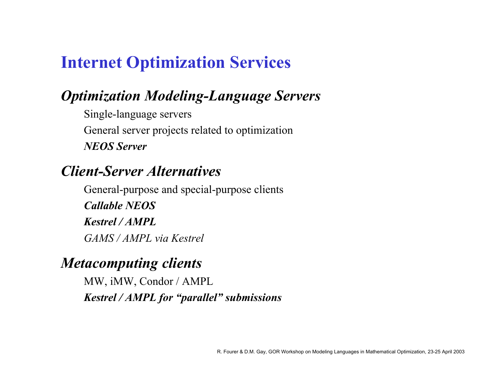# **Internet Optimization Services**

## *Optimization Modeling-Language Servers*

Single-language servers General server projects related to optimization *NEOS Server*

#### *Client-Server Alternatives*

General-purpose and special-purpose clients *Callable NEOSKestrel / AMPLGAMS / AMPL via Kestrel*

#### *Metacomputing clients*

MW, iMW, Condor / AMPL *Kestrel / AMPL for "parallel" submissions*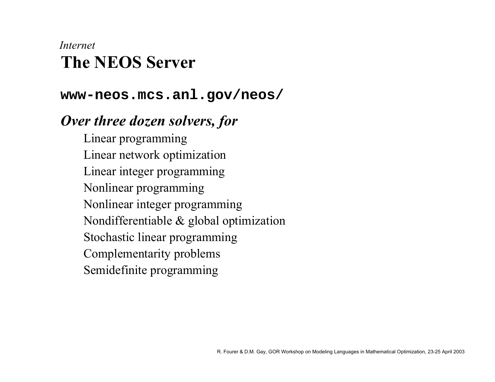## **The NEOS Server***Internet*

#### **www-neos.mcs.anl.gov/neos/**

#### *Over three dozen solvers, for*

Linear programming Linear network optimization Linear integer programming Nonlinear programming Nonlinear integer programming Nondifferentiable & global optimization Stochastic linear programming Complementarity problems Semidefinite programming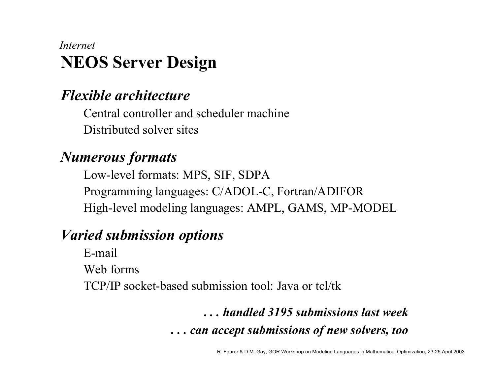## **NEOS Server Design** *Internet*

#### *Flexible architecture*

Central controller and scheduler machineDistributed solver sites

#### *Numerous formats*

Low-level formats: MPS, SIF, SDPA Programming languages: C/ADOL-C, Fortran/ADIFOR High-level modeling languages: AMPL, GAMS, MP-MODEL

## *Varied submission options*

E-mailWeb formsTCP/IP socket-based submission tool: Java or tcl/tk

# *. . . handled 3195 submissions last week. . . can accept submissions of new solvers, too*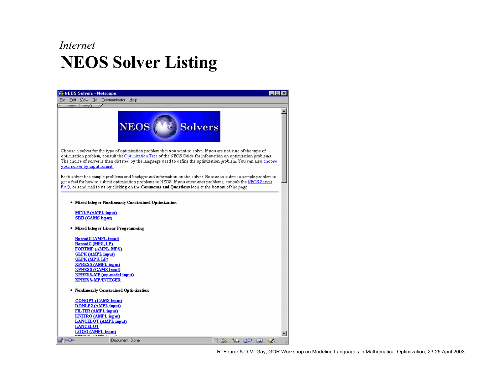#### **NEOS Solver Listing** *Internet*

| <b>NEOS Solvers - Netscape</b>                                                                                                                                                                                                                                                                                                                                                                          |   |
|---------------------------------------------------------------------------------------------------------------------------------------------------------------------------------------------------------------------------------------------------------------------------------------------------------------------------------------------------------------------------------------------------------|---|
| Communicator<br>Help<br>View<br>Go<br>Edit                                                                                                                                                                                                                                                                                                                                                              |   |
| линини: / Мин./ Мин.                                                                                                                                                                                                                                                                                                                                                                                    |   |
| <b>NEOS</b><br><b>Solvers</b>                                                                                                                                                                                                                                                                                                                                                                           |   |
| Choose a solver for the type of optimization problem that you want to solve. If you are not sure of the type of<br>optimization problem, consult the <u>Optimization Tree o</u> f the NEOS Guide for information on optimization problems.<br>The choice of solver is then dictated by the language used to define the optimization problem. You can also <u>choose</u><br>your solver by input format. |   |
| Each solver has sample problems and background information on the solver. Be sure to submit a sample problem to<br>get a feel for how to submit optimization problems to NEOS. If you encounter problems, consult the NEOS Server<br>$FAQ$ , or send mail to us by clicking on the <b>Comments and Questions</b> icon at the bottom of the page.                                                        |   |
| Mixed Integer Nonlinearly Constrained Optimization                                                                                                                                                                                                                                                                                                                                                      |   |
| <u>MINLP (AMPL input)</u><br><b>SBB</b> (GAMS input)                                                                                                                                                                                                                                                                                                                                                    |   |
| Mixed Integer Linear Programming                                                                                                                                                                                                                                                                                                                                                                        |   |
| <b>BonsaiG</b> (AMPL imput)<br><b>BonsaiG (MPS, LP)</b>                                                                                                                                                                                                                                                                                                                                                 |   |
| <b>FORTMP (AMPL, MPS)</b>                                                                                                                                                                                                                                                                                                                                                                               |   |
| <b>GLPK</b> (AMPL input)                                                                                                                                                                                                                                                                                                                                                                                |   |
| <b>GLPK (MPS, LP)</b><br><b>XPRESS (AMPL imput)</b>                                                                                                                                                                                                                                                                                                                                                     |   |
| <b>XPRESS (GAMS Imput)</b>                                                                                                                                                                                                                                                                                                                                                                              |   |
| <b>XPRESS-MP</b> (mp-model input)                                                                                                                                                                                                                                                                                                                                                                       |   |
| <b>XPRESS-MP/INTEGER</b>                                                                                                                                                                                                                                                                                                                                                                                |   |
| Nonlinearly Constrained Optimization                                                                                                                                                                                                                                                                                                                                                                    |   |
| CONOPT (GAMS input)                                                                                                                                                                                                                                                                                                                                                                                     |   |
| DONLP2 (AMPL input)                                                                                                                                                                                                                                                                                                                                                                                     |   |
| <b>FILTER</b> (AMPL input)<br><b>KNITRO</b> (AMPL input)                                                                                                                                                                                                                                                                                                                                                |   |
| LANCELOT (AMPL imput)                                                                                                                                                                                                                                                                                                                                                                                   |   |
| <b>LANCELOT</b>                                                                                                                                                                                                                                                                                                                                                                                         |   |
| LOQO (AMPL imput)<br><b>EMIAN ZERMEN</b>                                                                                                                                                                                                                                                                                                                                                                |   |
| ⊸™⊫<br>Document: Done<br>ko                                                                                                                                                                                                                                                                                                                                                                             | 國 |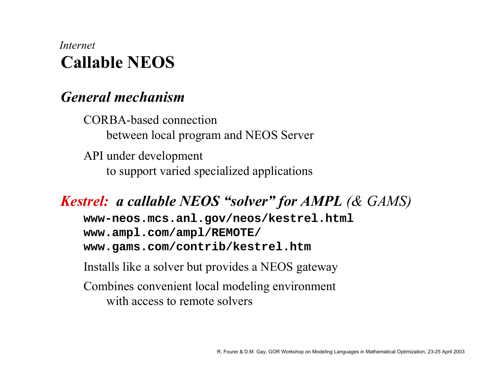## **Callable NEOS***Internet*

#### *General mechanism*

CORBA-based connection between local program and NEOS Server API under development

to support varied specialized applications

#### *Kestrel: a callable NEOS "solver" for AMPL (& GAMS)*

**www-neos.mcs.anl.gov/neos/kestrel.html www.ampl.com/ampl/REMOTE/ www.gams.com/contrib/kestrel.htm**

Installs like a solver but provides a NEOS gateway

Combines convenient local modeling environment with access to remote solvers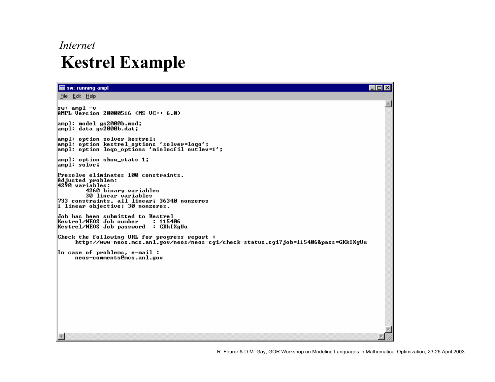#### *Internet*

# **Kestrel Example**

| sw: running ampl                                                                                                                                                                                                               | п |
|--------------------------------------------------------------------------------------------------------------------------------------------------------------------------------------------------------------------------------|---|
| File Edit Help                                                                                                                                                                                                                 |   |
| ∥sw: ampl −u<br>AMPL Version 20000516 (MS VC++ 6.0)                                                                                                                                                                            |   |
| ampl: model gs2000b.mod;<br>ampl: data gs2000b.dat;                                                                                                                                                                            |   |
| ampl: option solver kestrel;<br>ampl: option kestrel_options 'solver=loqo';<br>ampl: option logo_options 'minlocfil outlev=1';                                                                                                 |   |
| $\lambda$ ampl: option show_stats 1;<br>ampl: solve;                                                                                                                                                                           |   |
| Presolve eliminates 100 constraints.<br>Adjusted problem:<br>4290 variābles:<br>4260 binary variables<br><b>30 linear variables</b><br>733 constraints, all linear; 36340 nonzeros<br>$\vert$ 1 linear objective; 30 nonzeros. |   |
| Job has been submitted to Kestrel<br>Kestrel/NEOS Job number<br>: 115406<br> Kestrel/NEOS Job password : GKkIXgUu                                                                                                              |   |
| Check the following URL for progress report:<br>http://www-neos.mcs.anl.gov/neos/neos-cgi/check-status.cgi?job=115406&pass=GKkIXgUu                                                                                            |   |
| In case of problems, e-mail :<br>neos-comments@mcs.anl.gov                                                                                                                                                                     |   |
|                                                                                                                                                                                                                                |   |
|                                                                                                                                                                                                                                |   |
|                                                                                                                                                                                                                                |   |
|                                                                                                                                                                                                                                |   |
|                                                                                                                                                                                                                                |   |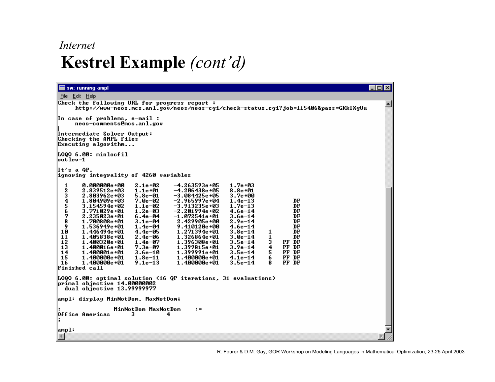#### *Internet*

# **Kestrel Example** *(cont'd)*

| sw: running ampl                                                                                                                                                                                                                                                                                                                                                                                                                                                                                                                                                                                                                                                                                                                                                                                                                                                                                                                                                                                                                                                                                                                                                                                                                                                                                      | $\Box$ DIX |
|-------------------------------------------------------------------------------------------------------------------------------------------------------------------------------------------------------------------------------------------------------------------------------------------------------------------------------------------------------------------------------------------------------------------------------------------------------------------------------------------------------------------------------------------------------------------------------------------------------------------------------------------------------------------------------------------------------------------------------------------------------------------------------------------------------------------------------------------------------------------------------------------------------------------------------------------------------------------------------------------------------------------------------------------------------------------------------------------------------------------------------------------------------------------------------------------------------------------------------------------------------------------------------------------------------|------------|
| File Edit Help                                                                                                                                                                                                                                                                                                                                                                                                                                                                                                                                                                                                                                                                                                                                                                                                                                                                                                                                                                                                                                                                                                                                                                                                                                                                                        |            |
| Check the following URL for progress report:<br>http://www-neos.mcs.anl.gov/neos/neos-cgi/check-status.cgi?job=115406&pass=GKkIXgUu                                                                                                                                                                                                                                                                                                                                                                                                                                                                                                                                                                                                                                                                                                                                                                                                                                                                                                                                                                                                                                                                                                                                                                   |            |
| In case of problems, e-mail :<br>neos-comments@mcs.anl.gov                                                                                                                                                                                                                                                                                                                                                                                                                                                                                                                                                                                                                                                                                                                                                                                                                                                                                                                                                                                                                                                                                                                                                                                                                                            |            |
| Intermediate Solver Output:<br>Checking the AMPL files<br>Executing algorithm                                                                                                                                                                                                                                                                                                                                                                                                                                                                                                                                                                                                                                                                                                                                                                                                                                                                                                                                                                                                                                                                                                                                                                                                                         |            |
| L000 6.00: minlocfil<br>lout lev=1                                                                                                                                                                                                                                                                                                                                                                                                                                                                                                                                                                                                                                                                                                                                                                                                                                                                                                                                                                                                                                                                                                                                                                                                                                                                    |            |
| It's a QP.<br>ignoring integrality of 4260 variables                                                                                                                                                                                                                                                                                                                                                                                                                                                                                                                                                                                                                                                                                                                                                                                                                                                                                                                                                                                                                                                                                                                                                                                                                                                  |            |
| 0.000000e+00<br>$-4.263593e + 05$<br>$1.7e + 03$<br>1<br>2.1e+02<br>2345678<br>$2.839512e + 03$<br>$1.1e + 01$<br>$-4.206438e + 05$<br>$8.8e + 01$<br>$2.803962e + 03$<br>$5.8e - 01$<br>$-3.084425e + 05$<br>3.7e+00<br>$-2.965997e + 04$<br>DF<br>1.804909e+03<br>7.0e-02<br>$1.4e-13$<br>DF<br>$3.154594e + 02$<br>$-3.913235e + 03$<br>$1.7e-13$<br>$1.1e-02$<br>DF<br>$3.771029e + 01$<br>$1.2e - 03$<br>$-2.201994e + 02$<br>$4.6e-14$<br>$2.235023e + 01$<br>$-1.072541e + 01$<br>DF<br>$6.4e - 04$<br>$3.6e-14$<br>DF<br>2.429905e+00<br>1.700808e+01<br>$3.1e-04$<br>$2.9e-14$<br>9<br>DF<br>$1.536949e + 01$<br>$1.4e-04$<br>$9.410120e + 00$<br>$4.6e-14$<br>10<br>DF<br>$1.446494e + 01$<br>$4.4e - 05$<br>$1.271394e + 01$<br>$3.8e-14$<br>1<br>$1.326864e + 01$<br>1<br>DF<br>11<br>$1.405838e + 01$<br>$2.4e - 06$<br>$3.0e-14$<br>12<br>PF DF<br>3<br>$1.400320e + 01$<br>$1.4e-07$<br>1.396308e+01<br>$3.5e-14$<br>13<br>4<br>$1.400016e + 01$<br>$7.3e - 09$<br>$1.399815e + 01$<br>$3.9e-14$<br>PF DF<br>14<br>5<br>PF DF<br>$1.400001e + 01$<br>$3.6e - 10$<br>$1.399991e + 01$<br>$3.5e-14$<br>6<br>15<br>PF DF<br>1.400000e+01<br>$1.8e-11$<br>1.400000e+01<br>$4.1e-14$<br>PF DF<br>16<br>$1.400000e + 01$<br>$1.400000e + 01$<br>$3.5e-14$<br>$9.1e-13$<br>8<br>Finished call |            |
| LOQO 6.00: optimal solution (16 QP iterations, 31 evaluations)<br>primal objective 14.00000002<br>dual objective 13.99999977                                                                                                                                                                                                                                                                                                                                                                                                                                                                                                                                                                                                                                                                                                                                                                                                                                                                                                                                                                                                                                                                                                                                                                          |            |
| ampl: display MinNotDom, MaxNotDom;                                                                                                                                                                                                                                                                                                                                                                                                                                                                                                                                                                                                                                                                                                                                                                                                                                                                                                                                                                                                                                                                                                                                                                                                                                                                   |            |
| MinNotDom MaxNotDom<br>$\mathbf{r} =$<br>Office Americas<br>з<br>4<br>Б                                                                                                                                                                                                                                                                                                                                                                                                                                                                                                                                                                                                                                                                                                                                                                                                                                                                                                                                                                                                                                                                                                                                                                                                                               |            |
| ampl:<br>$\left  \cdot \right $                                                                                                                                                                                                                                                                                                                                                                                                                                                                                                                                                                                                                                                                                                                                                                                                                                                                                                                                                                                                                                                                                                                                                                                                                                                                       |            |
|                                                                                                                                                                                                                                                                                                                                                                                                                                                                                                                                                                                                                                                                                                                                                                                                                                                                                                                                                                                                                                                                                                                                                                                                                                                                                                       |            |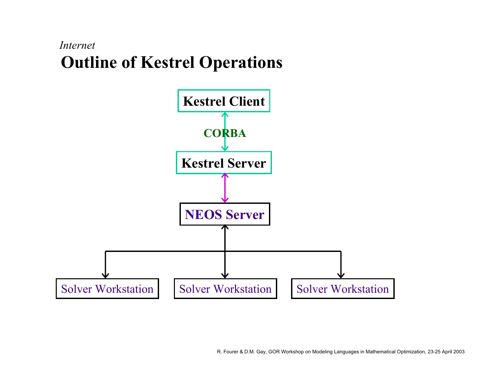#### **Outline of Kestrel Operations** *Internet*

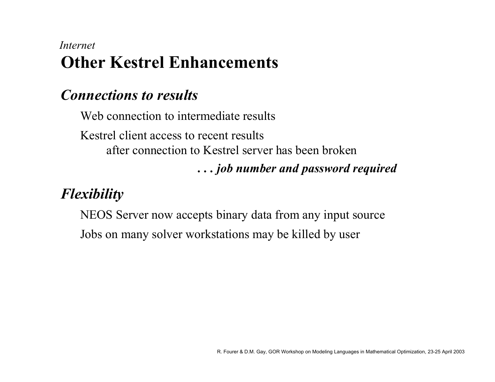## **Other Kestrel Enhancements** *Internet*

#### *Connections to results*

Web connection to intermediate results Kestrel client access to recent resultsafter connection to Kestrel server has been broken *. . . job number and password required*

# *Flexibility*

NEOS Server now accepts binary data from any input source Jobs on many solver workstations may be killed by user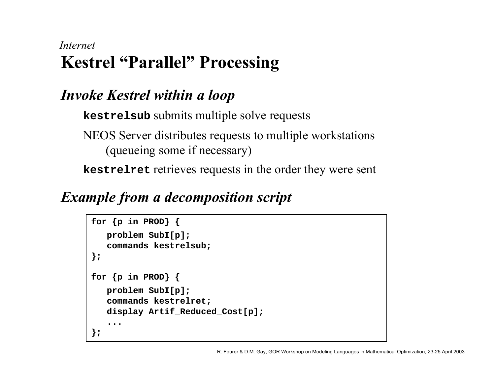#### **Kestrel "Parallel" Processing** *Internet*

# *Invoke Kestrel within a loop*

**kestrelsub** submits multiple solve requests

NEOS Server distributes requests to multiple workstations (queueing some if necessary)

**kestrelret** retrieves requests in the order they were sent

# *Example from a decomposition script*

```
for {p in PROD} {
   problem SubI[p];
   commands kestrelsub;
};
for {p in PROD} {
   problem SubI[p];
   commands kestrelret;
   display Artif_Reduced_Cost[p];
   ...};
```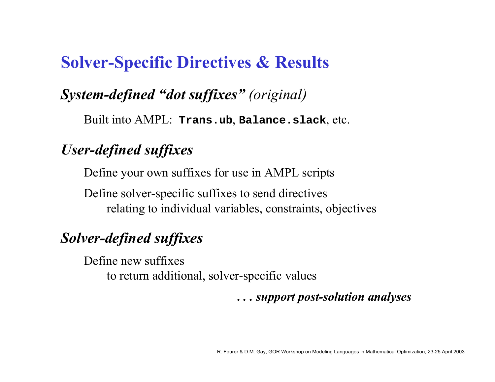# **Solver-Specific Directives & Results**

#### *System-defined "dot suffixes" (original)*

Built into AMPL: **Trans.ub**, **Balance.slack**, etc.

#### *User-defined suffixes*

Define your own suffixes for use in AMPL scripts

Define solver-specific suffixes to send directives relating to individual variables, constraints, objectives

#### *Solver-defined suffixes*

Define new suffixesto return additional, solver-specific values

*. . . support post-solution analyses*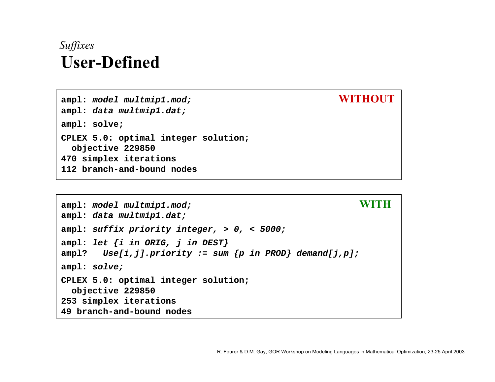## **User-Defined***Suffixes*

**ampl: model multmip1.mod; WITHOUT ampl: data multmip1.dat; ampl: solve; CPLEX 5.0: optimal integer solution; objective 229850 470 simplex iterations 112 branch-and-bound nodes**

```
ampl: model multmip1.mod; WITH
ampl: data multmip1.dat;
ampl: suffix priority integer, > 0, < 5000;
ampl: let {i in ORIG, j in DEST}
ampl? Use[i,j].priority := sum {p in PROD} demand[j,p];
ampl: solve;
CPLEX 5.0: optimal integer solution; 
 objective 229850
253 simplex iterations
49 branch-and-bound nodes
```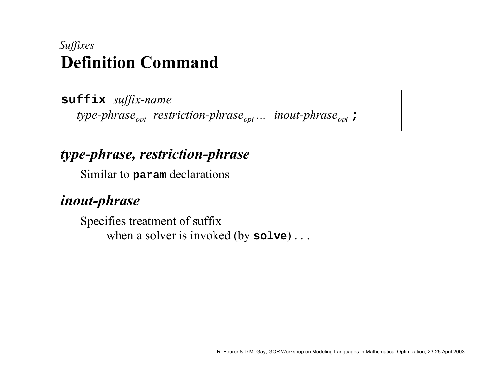#### **Definition Command***Suffixes*

**suffix** *suffix-name*  type-phrase<sub>opt</sub> restriction-phrase<sub>opt</sub> ... inout-phrase<sub>opt</sub> **;** 

#### *type-phrase, restriction-phrase*

Similar to **param** declarations

#### *inout-phrase*

Specifies treatment of suffix when a solver is invoked (by **solve**) . . .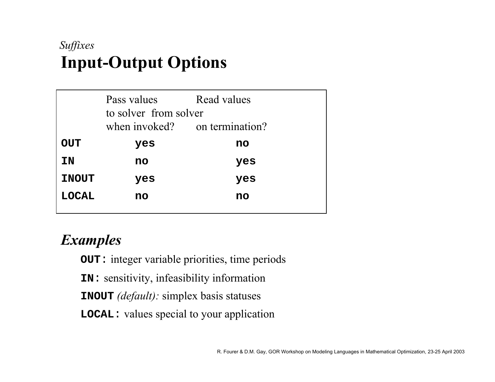# **Input-Output Options** *Suffixes*

|              | Pass values<br>to solver from solver | Read values                   |  |
|--------------|--------------------------------------|-------------------------------|--|
|              |                                      | when invoked? on termination? |  |
| <b>DUC</b>   | yes                                  | no                            |  |
| ΙN           | no                                   | yes                           |  |
| <b>INOUT</b> | yes                                  | yes                           |  |
| <b>LOCAL</b> | no                                   | no                            |  |
|              |                                      |                               |  |

#### *Examples*

**OUT**: integer variable priorities, time periods

**IN**: sensitivity, infeasibility information

**INOUT** *(default):* simplex basis statuses

**LOCAL**: values special to your application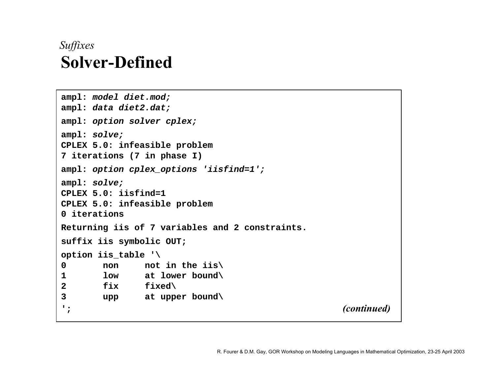## **Solver-Defined***Suffixes*

```
ampl: model diet.mod;
ampl: data diet2.dat;
ampl: option solver cplex;
ampl: solve;
CPLEX 5.0: infeasible problem
7 iterations (7 in phase I)
ampl: option cplex_options 'iisfind=1';
ampl: solve;
CPLEX 5.0: iisfind=1CPLEX 5.0: infeasible problem
0 iterationsReturning iis of 7 variables and 2 constraints.
suffix iis symbolic OUT;
option iis_table '\
0 non not in the iis\
1 low at lower bound\
2 fix fixed\
3 upp at upper bound\
'; (continued)
```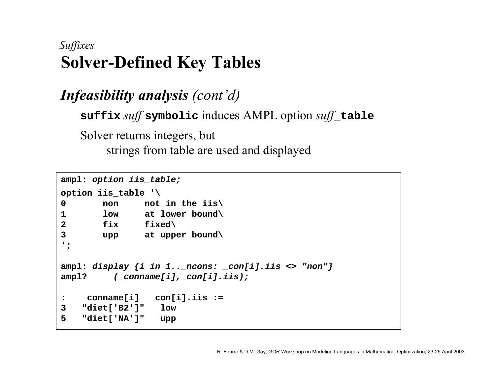## **Solver-Defined Key Tables** *Suffixes*

*Infeasibility analysis (cont'd)* **suffix** *suff* **symbolic** induces AMPL option *suff***\_table** Solver returns integers, but strings from table are used and displayed

```
ampl: option iis_table;
option iis_table '\
0 non not in the iis\
1 low at lower bound\
2 fix fixed\
3 upp at upper bound\
';
ampl: display {i in 1.._ncons: _con[i].iis <> "non"}
ampl? (_conname[i],_con[i].iis);
: _conname[i] _con[i].iis :=
3 "diet['B2']" low
5 "diet['NA']" upp
```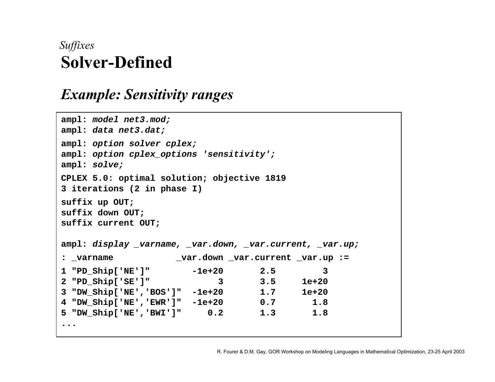## **Solver-Defined***Suffixes*

#### *Example: Sensitivity ranges*

```
ampl: model net3.mod;
ampl: data net3.dat;
ampl: option solver cplex;
ampl: option cplex_options 'sensitivity';
ampl: solve;
CPLEX 5.0: optimal solution; objective 1819
3 iterations (2 in phase I)
suffix up OUT;
suffix down OUT;
suffix current OUT;
ampl: display _varname, _var.down, _var.current, _var.up;
: _varname _var.down _var.current _var.up :=
1 "PD_Ship['NE']" -1e+20 2.5 3
2 "PD_Ship['SE']" 3 3.5 1e+20
3 "DW_Ship['NE','BOS']" -1e+20 1.7 1e+20
4 "DW_Ship['NE','EWR']" -1e+20 0.7 1.8
5 "DW_Ship['NE','BWI']" 0.2 1.3 1.8
...
```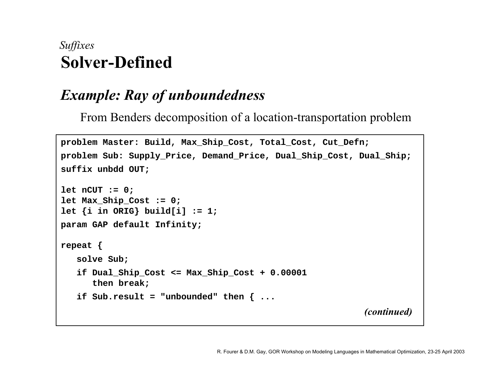### **Solver-Defined***Suffixes*

### *Example: Ray of unboundedness*

From Benders decomposition of a location-transportation problem

```
problem Master: Build, Max_Ship_Cost, Total_Cost, Cut_Defn;
problem Sub: Supply_Price, Demand_Price, Dual_Ship_Cost, Dual_Ship;
suffix unbdd OUT;
let nCUT := 0;
let Max_Ship_Cost := 0;
let {i in ORIG} build[i] := 1;
param GAP default Infinity;
repeat {
   solve Sub;
   if Dual_Ship_Cost <= Max_Ship_Cost + 0.00001 
      then break;
   if Sub.result = "unbounded" then { ...
                                                           (continued)
```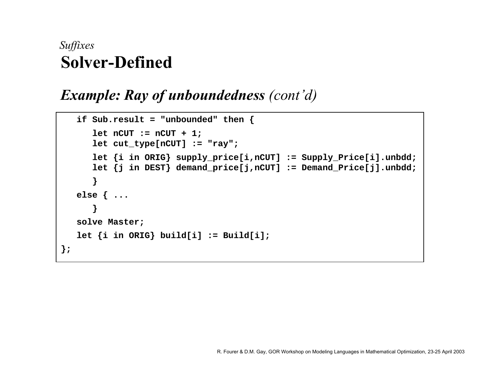### **Solver-Defined** *Suffixes*

#### *Example: Ray of unboundedness (cont'd)*

```
if Sub.result = "unbounded" then {
      let nCUT := nCUT + 1;
      let cut_type[nCUT] := "ray";
      let {i in ORIG} supply_price[i,nCUT] := Supply_Price[i].unbdd;
      let {j in DEST} demand_price[j,nCUT] := Demand_Price[j].unbdd;
      }
  else { ...
      }
  solve Master;
   let {i in ORIG} build[i] := Build[i]; 
};
```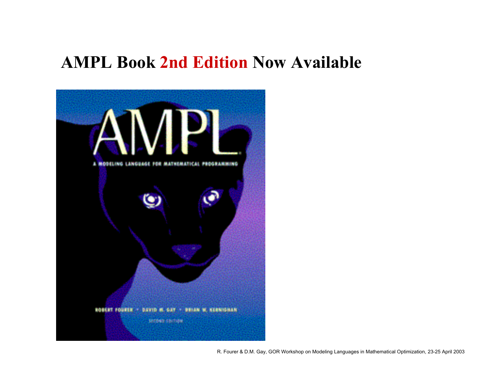## **AMPL Book 2nd Edition Now Available**